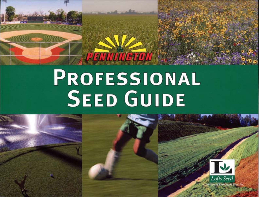# PROFESSIONAL **SEED GUIDE**

PENNINGTON

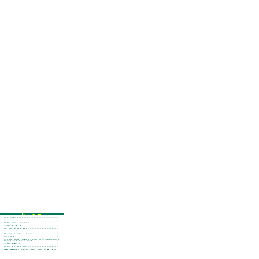## **Table of Contents**

| MIXTURES FOR EROSION AND SEDIMENTATION CONTROL ON: ROADSIDES, DUMP AND LOGGING SITES, |  |
|---------------------------------------------------------------------------------------|--|
|                                                                                       |  |
|                                                                                       |  |
|                                                                                       |  |
|                                                                                       |  |
|                                                                                       |  |
|                                                                                       |  |
|                                                                                       |  |
|                                                                                       |  |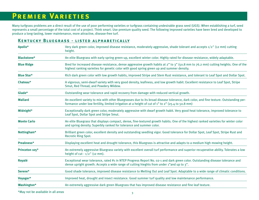### **Premier Varieties**

Many turfgrass problems are a direct result of the use of poor performing varieties or turfgrass containing undesirable grass seed (UGS). When establishing a turf, seed represents a small percentage of the total cost of a project. Think smart. Use premium quality seed. The following improved varieties have been bred and developed to produce a long-lasting, lower maintenance, more attractive, disease-free turf.

#### **Kentucky Bluegrass - listed alphabetically**

| Apollo*            | Very dark green color, improved disease resistance, moderately aggressive, shade tolerant and accepts 1/2" (12 mm) cutting<br>height.                                                                                                      |
|--------------------|--------------------------------------------------------------------------------------------------------------------------------------------------------------------------------------------------------------------------------------------|
| <b>Blackstone*</b> | An elite Bluegrass with early spring green-up, excellent winter color. Highly rated for disease resistance, widely adaptable.                                                                                                              |
| <b>Blue Ridge</b>  | Bred for increased disease resistance, dense aggressive growth habits at 2" to 3" (50.8 mm to 76.2 mm) cutting heights. One of the<br>highest ranking varieties for genetic color with good spring green up and summer density.            |
| <b>Blue Star*</b>  | Rich dark green color with low growth habits, improved Stripe and Stem Rust resistance, and tolerant to Leaf Spot and Dollar Spot.                                                                                                         |
| Chateau*           | A vigorous, semi-dwarf variety with very good density, leafiness, and low growth habit. Excellent resistance to Leaf Spot, Stripe<br>Smut, Red Thread, and Powdery Mildew.                                                                 |
| Glade*             | Outstanding wear tolerance and rapid recovery from damage with reduced vertical growth.                                                                                                                                                    |
| <b>Mallard</b>     | An excellent variety to mix with other Bluegrasses due to its broad disease tolerance, dark color, and fine texture. Outstanding per-<br>formance under low fertility, limited irrigation at a height of cut of 1" to 2" (25.4 to 50.8 mm) |
| Midnight*          | Exceptionally dark green color, moderately aggressive with dwarf growth habit. Very good heat tolerance, improved tolerance to<br>Leaf Spot, Dollar Spot and Stripe Smut.                                                                  |
| <b>Monte Carlo</b> | An elite Bluegrass that displays compact, dense, fine-textured growth habits. One of the highest ranked varieties for winter color<br>and spring density. Superbly ranked for tolerance and summer color.                                  |
| Nottingham*        | Brilliant green color, excellent density and outstanding seedling vigor. Good tolerance for Dollar Spot, Leaf Spot, Stripe Rust and<br><b>Recrotic Ring Spot.</b>                                                                          |
| Preakness*         | Displaying excellent heat and drought tolerance, this Bluegrass is attractive and adapts to a medium high mowing height.                                                                                                                   |
| Princeton 105*     | An extremely aggressive Bluegrass variety with excellent overall turf performance and superior recuperative ability. Tolerates a low<br>height of $cut - 1/2$ " (12 mm).                                                                   |
| Royalé             | Exceptional wear tolerance, rated #1 in NTEP Progress Report No. 02-1 and dark green color. Outstanding disease tolerance and<br>dense upright growth. Accepts a wide range of cutting hieghts from under 1"and up to 3".                  |
| Serene*            | Good shade tolerance, improved disease resistance to Melting Out and Leaf Spot. Adaptable to a wide range of climatic conditions.                                                                                                          |
| Voyager*           | Improved heat, drought and insect resistance. Good summer turf quality and low maintenance performance.                                                                                                                                    |
| <b>Washington*</b> | An extremely aggressive dark green Bluegrass that has improved disease resistance and fine leaf texture.                                                                                                                                   |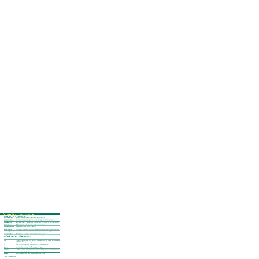#### **Premier Varieties, continued**

#### **Fine Fescue - listed alphabetic ally**

| <b>Azure Blue Sheep Fescue*</b>     | Displays outstanding drought tolerance for low maintenance sites. Attractive blue color.                                                                                          |
|-------------------------------------|-----------------------------------------------------------------------------------------------------------------------------------------------------------------------------------|
| <b>Berkshire Hard Fescue*</b>       | Top performing, fine textured, drought tolerant with dark color in sun or shade. Excellent for low maintenance areas.                                                             |
| <b>Camilla Creeping Red Fescue</b>  | High turf density, establishes quickly with rich, dark green color. Does well during summer heat and humidity.                                                                    |
| <b>Discovery Hard Fescue*</b>       | #1 NTEP rated. (NTEP No. 96-8) Improved resistance to Red Thread, Summer Patch and Dollar Spot. Great density. Produces an<br>excellent turf for low maintenance and shady areas. |
| Eureka Hard Fescue*                 | Shade tolerant, moderate drought tolerance, ideally suited for low maintenance areas.                                                                                             |
| <b>Flyer II Creeping Red Fescue</b> | Good shade tolerance with fine texture and dark green color.                                                                                                                      |
| Jamestown II Chewings Fescue*       | An excellent dark green variety with endophyte enhanced performance.                                                                                                              |
| <b>Predator Hard Fescue</b>         | Increased heat and drought tolerance for improved summer density. Outstanding disease resistance compared to other varieties.                                                     |
| <b>RaZor Creeping Red Fescue</b>    | Excellent shade tolerance and improved summer density with increased disease resistance. This variety blends well with other fine<br>fescues for low maintenance applications.    |
| <b>7 Seas Chewings Fescue</b>       | Strong performance in low maintenance applications due to increased summer density.                                                                                               |
| <b>Tiffany Chewings Fescue*</b>     | Good seedling vigor, improved disease resistance, dark green color with dwarf growth habit.                                                                                       |
|                                     | PERENNIAL RYEGRASS - LISTED ALPHABETICALLY                                                                                                                                        |
| <b>Applaud</b>                      | #1 NTEP rated (NTEP No. 01-1) commercially available variety. Exceptional color, texture and density. Improved resistance to Grey<br>Leaf Spot.                                   |
| IG <sub>2</sub>                     | The most highly rated Gray Leaf Spot resistant variety on the market today. Outstanding color and texture along with summer heat<br>and drought tolerance.                        |
| Integra                             | Displays increased Grey Leaf Spot resistance, fine texture and dark green color.                                                                                                  |
| Jet                                 | Outstanding heat and drought tolerance. Excellent Summer Leaf Spot and Crown Rust resistance.                                                                                     |
| <b>Morning Star</b>                 | Extremely strong growth habit, improved drought tolerance, endophyte enhanced and dark green color.                                                                               |
| Palmer III*                         | Low growing, fine textured, attractive dark green color and endophyte enhanced.                                                                                                   |
| <b>Shining Star</b>                 | A dark green, fine textured Perennial Rye that blends well and will transition easily when used as an overseeding on warm season<br>grass.                                        |
| <b>Sonata</b>                       | Superior Brown Patch and Red Thread resistance. Dark green color, dense growth with fine texture.                                                                                 |
| <b>Wind Dance</b>                   | Outstanding dark green color, fine textured, and exhibits improved disease resistance.                                                                                            |
| <b>Wind Star</b>                    | Good Brown Patch resistance with outstanding shade tolerance. Superb winter color retention.                                                                                      |
|                                     |                                                                                                                                                                                   |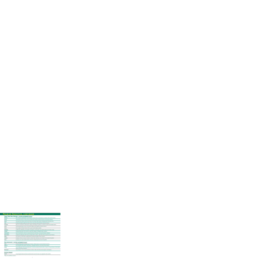### **Premier Varieties, continued**

#### **Turf Type Tall Fescue - listed alphabetically**

| <b>Bandana</b>    | Dark, rich green upright growth. Good resistance to Brown Patch, outstanding wear resistance with moderate density.       |
|-------------------|---------------------------------------------------------------------------------------------------------------------------|
| <b>Durana</b>     | Outstanding resistance to Brown Patch and Dollar Spot, displays exceptional winter color and heat resistance.             |
| <b>Duster</b>     | Very good wear resistance with fine leaf texture and medium shade tolerance displaying dark forest-green color.           |
| Forté             | Exceptional turfgrass quality, fine texture, dense canopy with improved disease and wear tolerance.                       |
| <b>Greystone</b>  | Bred in the southeastern United States, displays outstanding turf qualities, very disease resistant and drought tolerant. |
| <b>Justice</b>    | Outstanding dark green, dense, fine textured turfgrass with drought and disease tolerance.                                |
| <b>OnCue</b>      | Very drought and disease tolerant with very good overall turfgrass qualities.                                             |
| <b>Plantation</b> | #1 NTEP rated. (NTEP No. 98-1) Excellent turf qualities, rich dark green color with fine texture and a dense canopy.      |
| <b>Prospect</b>   | Exceptional dark green color and open canopy which displays remarkable disease resistance.                                |
| Rebel Exeda*      | Latest of the Rebel line. Bred for increased density, fine leaf texture, and improved disease resistance.                 |
| Rebel Sentry*     | Exceptional seedling vigor. Red Thread and Brown Patch resistance, high tiller density, drought and wear tolerance.       |
| <b>Signia</b>     | Fine textured, rich dark green upright growth. Exceptional drought and wear tolerance.                                    |
| <b>Tradition</b>  | Endophyte enhanced, improved resistance to Brown Patch, Dollar Spot, and Leaf Spot. Good overall turf qualities.          |
| <b>Virtue</b>     | Good green color with moderate density and texture. Displays good all around turf qualities.                              |

#### **Poa trivialis - listed alphabetically**

| <b>Fuzzy</b> | Strong seedling vigor and outstanding cold tolerance. Medium green color and medium fine texture.                                                                             |
|--------------|-------------------------------------------------------------------------------------------------------------------------------------------------------------------------------|
| Sabre II*    | Fine leaf texture with excellent cold tolerance, moderately dark green color with low heat tolerance.                                                                         |
| SunUp        | Great seedling vigor with strong upright growth, but still low growing. Exceptional dark, rich green color, good shade and cold weather<br>tolerance with low heat tolerance. |
| Winterplay*  | Very dark green color and improved disease resistance. Mixes well with perennial ryegrass and bentgrass.                                                                      |

#### **Zoysia Grass**

**Zenith\*** A very drought resistant and dense variety that will recover from wear more rapidly than other varieties.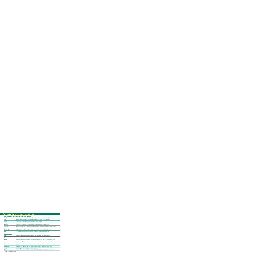### **Premier Varieties, continued**

#### **Creeping Bentgrass - listed alphabetically**

| Crenshaw*        | Exceptional heat and wear tolerance with strong Brown Patch resistance. Dense fine textured turf that is grain free.  |
|------------------|-----------------------------------------------------------------------------------------------------------------------|
| $L-93*$          | Excellent turfgrass quality. Upright growth habit displaying resistance to Dollar Spot and Brown Patch.               |
| Penn A-4         | Dense upright growth with dark green color and improved disease resistance.                                           |
| Penn G-6*        | Outstanding turfgrass quality. Dense vertical growth with no grain. Excellent wear and heat tolerance.                |
| <b>Penncross</b> | The standard for Bentgrass since 1955. Recovers quickly from injury. Good heat and wear tolerance.                    |
| <b>Penneagle</b> | Aggressive upright growth with dark green color displaying good heat and wear tolerance, and improved salt tolerance. |
| <b>Pennlinks</b> | Non-graining upright vigorous growth with fine leaf texture and minimal plant type segregation.                       |
| Southshore*      | Excellent seedling vigor. Strong wear tolerance with medium deep green color and upright vertical growth.             |
| 13M              | The most Dollar Spot resistant variety on the market today. Provides outstanding summer density.                      |

#### **Alkaligrass**

Salty\* Salt tolerant, fine textured and low growing. Perfect for roadsides, seashore areas and alkaline soils.

#### **Bermudagrass - listed alphabetically**

| <b>Mohawk</b>       | Greatly improved cold tolerance along with drought tolerance. Provides a good green color with medium fine texture.                                              |  |  |
|---------------------|------------------------------------------------------------------------------------------------------------------------------------------------------------------|--|--|
| <b>Princess-77</b>  | A seeded Bermudagrass with the texture and color to match the best vegetative varieties. Improved drought tolerance, density,<br>wear, and recovery from damage. |  |  |
| <b>Sahara</b>       | First improved seeded Bermudagrass, released in 1988. Reduced plant height with increased wear tolerance, green color and<br>density.                            |  |  |
| <b>Sultan Brand</b> | Improved turf quality with dark green color and drought tolerance. Performs very well on acidic/low pH soils.                                                    |  |  |
| <b>Sydney</b>       | Good seedling vigor with outstanding wear and drought tolerance.                                                                                                 |  |  |
| Yuma                | Longer growing season than most Bermudagrasses with medium fine leaf texture and quick recovery from injury.                                                     |  |  |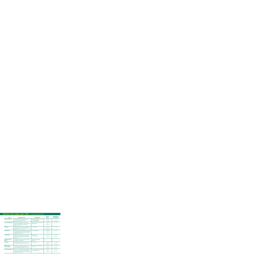#### **Seeds for Lawn and Turf - listed alphabetically**

| <b>ITEM</b>                                         | <b>CHARACTERISTICS</b>                                                                                                                                                                          | <b>INGREDIENTS</b>                                                                          | <b>SEEDING</b><br><b>RATES</b>                 | <b>RECOMMENDED</b><br><b>PLANTING DATES</b><br>(NORTHERN HEMISPHERE) |
|-----------------------------------------------------|-------------------------------------------------------------------------------------------------------------------------------------------------------------------------------------------------|---------------------------------------------------------------------------------------------|------------------------------------------------|----------------------------------------------------------------------|
| <b>Athletic Field Mixture</b>                       | An extremely wear tolerant and attractive mix for<br>use in full sun and partial shade for use on<br>recreational play areas. Zones: 5, 6, 7.                                                   | 80% Turf Type Tall Fescue (2 varieties)<br>10% Perennial Ryegrass<br>10% Kentucky Bluegrass | 7#/1000 sq. ft.<br><b>or</b><br>305#/acre      | $4/1 - 5/31$<br>or<br>$8/15 - 10/15$                                 |
| <b>Bermuda Triangle Blend</b>                       | Provides an extremely durable, thick stand of<br>turfgrass. Bermudagrass is one of the most drought<br>tolerant and salt tolerant species available.<br>Zones: 6, 7, 8, 9, 10, 11.              | A blend of 3 premier certified hybrid<br>Bermudagrasses.                                    | 2#/1000 sq. ft.<br><b>or</b><br>88#/acre       | $4/1 - 8/15$                                                         |
| <b>Buffalograss</b>                                 | Well suited to dry, well drained soils native to the<br>Great Plains of North America. Zones: Arid and Semi-<br>Arid portions of 4, 5, 6, 7, 8, 9, 10, 11.                                      | 100% Buffalograss                                                                           | 2#/1000 sq. ft.<br>or<br>88#/acre (burrs)      | $4/1 - 8/15$                                                         |
| <b>Centipedegrass</b>                               | Moderately coarse leaves provide a medium quality<br>turf, with low maintenance requirements. Persists in<br>light shade, grows best on acid soils with minimal<br>maintenance. Zones: 7, 8, 9. | 100% Centipedegrass                                                                         | $1/2$ #/1000 sq. ft.<br>or<br>20#/acre         | $4/1 - 7/31$                                                         |
| <b>Ecology Mixture</b>                              | Designed for ecologically fragile sites where use<br>of fertilizers are discouraged or banned. Minimal<br>maintenance; attractive for use in sun or shade.<br>Zones: 3, 4, 5, 6.                | 80% Hard Fescue<br>20% Chewings Fescue                                                      | 4#/1000 sq. ft.<br>or<br>$170\frac{H}{G}$ acre | $4/1 - 5/31$<br>or<br>$8/15 \cdot 10/15$                             |
| <b>Landscaper's Choice</b><br><b>Mixture</b>        | Formulated for your specific climate to provide an<br>acceptable stand of turfgrass.                                                                                                            | Varies according to climatic<br>conditions.                                                 |                                                |                                                                      |
| <b>Poa trivialis</b>                                | Damp shaded sites. Not for use in full sun except<br>for extremely wet or damp areas. Zones: 2, 3, 4.                                                                                           | 100% Poa trivialis                                                                          | 2#/1000 sq. ft.<br>or<br>88#/acre              | $4/1 - 5/31$<br>or<br>$8/15 - 10/15$                                 |
| <b>Signature Series</b><br><b>Tall Fescue Blend</b> | Provides an exceptional stand of turfgrass in sun<br>or moderate shade. Outstanding color, density,<br>texture and disease resistance. Zones: 5, 6, 7, 8.                                       | A blend of 3 elite certified Turf Type<br><b>Tall Fescues.</b>                              | 8#/1000 sq. ft.<br>or<br>350#/acre             | $4/1 - 5/31$<br>or<br>$8/15 - 11/15$                                 |
| <b>Summer Stress Mixture</b>                        | Use in sun or shade where heat, drought, and wear<br>tolerance are a consideration. Especially useful for<br>moderate to dense shade where Bermudagrass will<br>not persist. Zones: 5, 6, 7, 8. | 90% Turf Type Tall Fescue (2 varieties)<br>10% Kentucky Bluegrass                           | 5#/1000 sq. ft.<br>or<br>$220\frac{H}{}$ acre  | $4/1 - 5/31$<br>or<br>$8/15 \cdot 10/15$                             |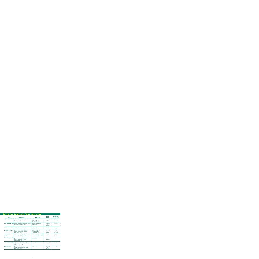# **Seeds for Lawn and Turf, continued**

| <b>ITEM</b>                                  | <b>CHARACTERISTICS</b>                                                                                                                                                                            | <b>INGREDIENTS</b>                                                                                      | <b>SEEDING</b><br><b>RATES</b>                 | <b>RECOMMENDED</b><br><b>PLANTING DATES</b><br>(NORTHERN HEMISPHERE) |
|----------------------------------------------|---------------------------------------------------------------------------------------------------------------------------------------------------------------------------------------------------|---------------------------------------------------------------------------------------------------------|------------------------------------------------|----------------------------------------------------------------------|
| <b>Super Shade Mixture</b>                   | This blend will provide turfgrass coverage<br>under some of the most dense shade.<br>Zones: 3, 4, 5, 6, 7, 8.                                                                                     | 40% Creeping Red<br>30% Hard Fescue<br>20% Chewings Ryegrass<br>10% Kentucky Bluegrass                  | 4#/1000 sq. ft.<br><b>or</b><br>170#/acre      | $4/1 \cdot 5/31$<br>or<br>$8/16 - 10/15$                             |
| <b>Super Star Ryegrass Blend</b>             | A blend of Perennial Ryegrasses especially suited for<br>specific climates. Zones: 3, 4, 5, 6, 7.                                                                                                 | A blend of 3 premier Perennial<br>Ryegrass varieties.                                                   | 6#/1000 sq. ft.<br>or<br>$260\frac{H}{2}$ acre | $4/1 \cdot 10/15$                                                    |
| <b>Tri-Plex Bluegrass Blend</b>              | This blend will provide the most attractive<br>turf available north of the transition zone.<br>Best results in full sun. Zones: 3, 4, 5, 6, 7.                                                    | A blend of 4 elite<br>Kentucky Bluegrasses.                                                             | 3#/1000 sq. ft.<br>$130\frac{H}{2}$ acre       | $4/1 - 4/30$<br>or<br>$8/16 \cdot 10/15$                             |
| <b>Tri-Plex General Mixture</b>              | All purpose mixture to meet practically every<br>condition. May be used in full sun or light<br>shade. Zones: 3, 4, 5, 6, 7.                                                                      | 34% Creeping Red Fescue<br>33% Perennial Ryegrass<br>33% Kentucky Bluegrass                             | 4#/1000 sq. ft.<br>$170\frac{H}{G}$ acre       | $4/1 \cdot 5/31$<br>or<br>$8/16 - 10/15$                             |
| <b>Tri-Plex General</b><br><b>Mixture II</b> | An all purpose mixture ideally suited for northern<br>lawns - provides a good stand of turfgrass in<br>sun and shade. Zones: 3, 4, 5, 6.                                                          | 50% Perennial Ryegrass (2 varieties)<br>30% Kentucky Bluegrass (2 varieties)<br>20% Creeping Red Fescue | 6#/1000 sq. ft.<br>$260\frac{H}{2}$ acre       | $4/1 - 5/31$<br>or<br>$8/15 \cdot 10/15$                             |
| <b>Tri-Plex Ryegrass Blend</b>               | Quick to germinate and very attractive.<br>Especially useful for summer seedings when<br>other cool season grasses are difficult<br>to establish. Zones: 3, 4, 5, 6, 7.                           | A blend of 3 elite Perennial<br>Ryegrass varieties.                                                     | 6#/1000 sq. ft.<br>$260\frac{H}{2}$ acre       | $4/1 \cdot 10/15$                                                    |
| <b>Tri-Plex Tall Fescue Blend</b>            | A blend of 3 Turf Type Tall Fescues that perform well<br>in either full sun or shade. These grasses tolerate<br>drought and wear and provide cover for intense<br>traffic use. Zones: 5, 6, 7, 8. | A blend of 3 premier Turf Type<br><b>Tall Fescues.</b>                                                  | 8#/1000 sq. ft.<br>350#/acre                   | $4/1 \cdot 5/31$<br><b>or</b><br>$8/15 - 11/15$                      |
| <b>Zenith Zoysia Grass</b>                   | Provides a dense, moderately fine textured stand<br>of turfgrass that is drought and heat tolerant.<br>Zones: 6, 7, 8, 9, 10, 11.                                                                 | 100% Zoysia Grass                                                                                       | 1#/1000 sq. ft.<br>or<br>44#/acre              | $4/1 - 8/15$                                                         |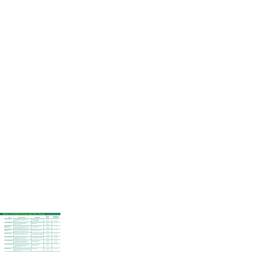### **Seeds for Sports Fields and Race Tracks - listed alphabetically**

| <b>ITEM</b>                                           | <b>CHARACTERISTICS</b>                                                                                                                                                        | <b>INGREDIENTS</b>                                                                          | <b>SEEDING</b><br><b>RATES</b>                        | <b>RECOMMENDED</b><br><b>PLANTING DATES</b><br>(NORTHERN HEMISPHERE) |
|-------------------------------------------------------|-------------------------------------------------------------------------------------------------------------------------------------------------------------------------------|---------------------------------------------------------------------------------------------|-------------------------------------------------------|----------------------------------------------------------------------|
| <b>Athletic Field Mixture</b>                         | For general purpose use on sports fields. Durable<br>while providing heat and drought tolerance.<br>Zones: 5, 6, 7.                                                           | 80% Turf Type Tall Fescue (2 varieties)<br>10% Perennial Ryegrass<br>10% Kentucky Bluegrass | 6#/1000 sq. ft.<br>or<br>$260\frac{H}{2}$ acre        | $4/1 - 5/31$<br>or<br>$8/16 - 12/30$                                 |
| <b>Bermuda Triangle Blend</b>                         | Will provide a durable and drought resistant<br>turfgrass. Exceptionally wear tolerant.<br>Zones: 6, 7, 8, 9, 10, 11.                                                         | A blend of 3 premier certified hybrid<br>Bermudagrasses.                                    | 2#/1000 sq. ft.<br><b>or</b><br>88#/acre              | $4/1 - 8/15$                                                         |
| <b>Professional's Select</b><br><b>Ryegrass Blend</b> | Three elite proprietary varieties blended to provide<br>the best disease resistant, dark green, wear<br>tolerant stand of turfgrass. Zones: 3, 4, 5, 6, 7, 8.                 | A blend of 3 premier proprietary<br>Perennial Ryegrasses.                                   | 6#/1000 sq. ft.<br>or<br>$260\frac{H}{2}$ acre        | $4/1 - 12/15$                                                        |
| <b>Royal Blend featuring</b><br><b>Princess 77</b>    | A blend of Bermuda to provide a dense, drought<br>tolerant stand of turfgrass that accepts a low<br>mowing height - 3/8" (9 mm). Zones: 7, 8, 9, 10, 11.                      | A blend of two of the best seeded<br>hybrid Bermudagrass varieties.                         | 1#/1000 sq. ft.<br><b>or</b><br>44#/acre              | $4/1 - 8/15$                                                         |
| <b>Rugged Wear Mixture</b>                            | Formulated for high traffic multi-use sports<br>field and recreation areas. Zones: 3, 4, 5, 6, 7, 8.                                                                          | 60% Kentucky Bluegrass (3 varieties)<br>40% Perennial Ryegrass (2 varieties)                | 4#/1000 sq. ft.<br>or<br>$170\frac{H}{G}$ acre        | $4/1 - 4/30$<br>or<br>$8/16 \cdot 10/15$                             |
| <b>Supreme Sports Mixture</b>                         | Top quality mixture combines the quick<br>establishment of Perennial Ryegrass with the beauty<br>of Bluegrass. Zones: 3, 4, 5, 6, 7, 8.                                       | 80% Kentucky Bluegrass (3 varieties)<br>20% Perennial Ryegrass (2 varieties)                | 4#/1000 sq. ft.<br>or<br>$170\frac{H}{G}$ acre        | $4/1 \cdot 5/31$<br>or<br>$8/16 \cdot 10/15$                         |
| <b>Tri-Plex Bluegrass Blend</b>                       | This blend will provide the most attractive sports<br>turf available north of the transition zone.<br>Best results in full sun. Zones: 3, 4, 5, 6, 7, 8.                      | A blend of 4 elite proprietary<br>Kentucky Bluegrasses.                                     | 3#/1000 sq. ft.<br><b>or</b><br>$130\frac{H}{2}$ acre | $4/1 - 4/30$<br>or<br>$8/16 - 12/30$                                 |
| <b>Tri-Plex Ryegrass Blend</b>                        | Quick to germinate and very attractive. For yearly<br>reseeding on established fields which receive the<br>most severe traffic and constant play.<br>Zones: 3, 4, 5, 6, 7, 8. | A blend of 3 elite proprietary<br>Perennial Ryegrasses.                                     | 6#/1000 sq. ft.<br>or<br>$260\frac{H}{2}$ acre        | $4/1 - 12/30$                                                        |
| <b>Zenith Zoysia Grass</b>                            | Provides a tight knitted turf that is drought and heat<br>tolerant. Density of turf will outcompete most weeds.<br>Zones: 6, 7, 8, 9, 10, 11.                                 | 100% Zoysia Grass                                                                           | 1#/1000 sq. ft.<br>or<br>44#/acre                     | $4/1 - 8/15$                                                         |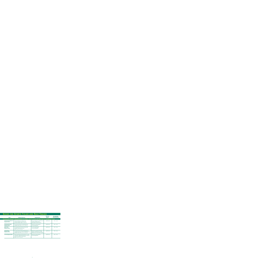#### **Seeds for Sports Fields and Race Tracks**

| <b>ITEM</b>                                              | <b>CHARACTERISTICS</b>                                                                                                                                                               | <b>INGREDIENTS</b>                                                                                                                           | <b>SEEDING</b><br><b>RATES</b>        | <b>RECOMMENDED</b><br><b>PLANTING DATES</b><br>(NORTHERN HEMISPHERE) |
|----------------------------------------------------------|--------------------------------------------------------------------------------------------------------------------------------------------------------------------------------------|----------------------------------------------------------------------------------------------------------------------------------------------|---------------------------------------|----------------------------------------------------------------------|
|                                                          | <b>OVERSEEDING DORMANT BERMUDAGRASS ON LAWNS, SPORTS FIELDS AND RACE TRACKS FOR WINTER COVER</b>                                                                                     |                                                                                                                                              |                                       |                                                                      |
| <b>Professional's Select QT</b><br><b>Ryegrass Blend</b> | A blend of Ryegrasses designed to be<br>durable during the season and provide<br>an easier transition. Zones: 6, 7, 8, 9, 10.                                                        | A blend of Ryegrasses designed to be<br>durable during the season<br>and provide an easier transition.                                       | $300\frac{H}{F}(+)/\text{acre}$       | $8/15 - 12/30$                                                       |
| <b>Professional's Select</b><br><b>Ryegrass Blend</b>    | The most wear tolerant overseeding formula<br>available today. Zones: 3, 4, 5, 6, 7, 8, 9, 10.                                                                                       | A blend of 3 elite proprietary<br>Perennial Ryegrasses.                                                                                      | $300\frac{4}{5}$ + $\frac{4}{3}$ acre | $8/15 - 12/30$                                                       |
| <b>Sports Club</b><br><b>Ryegrass Blend</b>              | An all purpose blend tolerant of heavy traffic<br>on athletic fields and race tracks.<br>Zones: 3, 4, 5, 6, 7, 8, 9, 10.                                                             | 60% Perennial Ryegrass<br>40% Annual Ryegrass                                                                                                | $300\frac{H}{F}(+)/\text{acre}$       | $8/15 - 12/30$                                                       |
| <b>Sunrise Primo</b><br><b>Ryegrass Blend</b>            | The cleanest blend of Perennial Ryegrasses to<br>provide the most wear tolerant overseeding formula<br>available today. Zones: 3, 4, 5, 6, 7, 8, 9, 10.                              | A blend of 3 proprietary Perennial<br>Ryegrass varieties that are certified,<br>Penkoted <sup>®</sup> and of TournamenT Quality <sup>™</sup> | $300\frac{4}{+})/$ acre               | $8/15 - 11/30$                                                       |
| <b>Tri-Plex Ryegrass Blend</b>                           | Quick to germinate and very attractive. For yearly<br>reseeding on established fields which receive the<br>most severe traffic and constant play.<br>Zones: 3, 4, 5, 6, 7, 8, 9, 10. | A blend of 3 elite proprietary<br>Perennial Ryegrasses.                                                                                      | $300\frac{H}{F}(+)/\text{acre}$       | $8/15 - 12/30$                                                       |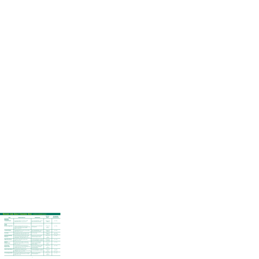#### **Seeds for Golf Course Use - listed alphabetically**

| <b>ITEM</b>                                        | <b>CHARACTERISTICS</b>                                                                                                                                                             | <b>INGREDIENTS</b>                                                                                                       | <b>SEEDING</b><br><b>RATES</b>                 | <b>RECOMMENDED</b><br><b>PLANTING DATES</b><br>(NORTHERN HEMISPHERE) |
|----------------------------------------------------|------------------------------------------------------------------------------------------------------------------------------------------------------------------------------------|--------------------------------------------------------------------------------------------------------------------------|------------------------------------------------|----------------------------------------------------------------------|
| GREENS                                             |                                                                                                                                                                                    |                                                                                                                          |                                                |                                                                      |
| <b>Creeping Bentgrass</b>                          | Low growing, tight knit, to provide a smooth<br>rolling surface. Zones: 2, 3, 4, 5, 6, 7, 8.                                                                                       | 100% Creeping Bentgrass - may be a<br>blend of more than one variety                                                     | 2#/1000 sq. ft.<br>or 88#/acre                 | $4/1 - 10/15$                                                        |
| <b>TEES</b>                                        |                                                                                                                                                                                    |                                                                                                                          |                                                |                                                                      |
| <b>Bermuda Triangle Blend</b>                      | Provides an extremely durable, thick stand of<br>turfgrass. Bermudagrass is one of the most drought<br>tolerant and salt tolerant species available.<br>Zones: 6, 7, 8, 9, 10, 11. | A blend of 3 premier certified hybrid<br>Bermudagrasses.                                                                 | 2#/1000 sq. ft.<br>or<br>88#/acre              | $4/1 - 8/15$                                                         |
| <b>Creeping Bentgrass</b>                          | Low growing, tight knit to provide a dense playing<br>surface. Zones: 2, 3, 4, 5, 6.                                                                                               | 100% Creeping Bentgrass - may be a<br>blend of more than one variety                                                     | 2#/1000 sq. ft.<br>or 88#/acre                 | $4/1 - 10/15$                                                        |
| <b>Poa trivialis</b>                               | Damp shaded sites. Not for use in full sun except<br>for extremely wet or damp areas. Zones: 2, 3, 4.                                                                              | 100% Poa trivialis                                                                                                       | 2#/1000 sq. ft.<br>or 88#/acre                 | $4/1 - 5/31$<br>or $8/16 - 10/15$                                    |
| <b>Royal Blend featuring</b><br><b>Princess 77</b> | A blend of Bermuda to provide a dense, drought<br>tolerant stand of turfgrass that accepts a low<br>mowing height - 3/8" (9 mm). Zones: 7, 8, 9, 10, 11.                           | A blend of two of the best seeded<br>hybrid Bermudagrass varieties.                                                      | 1#/1000 sq. ft.<br>or<br>44#/acre              | $4/1 - 8/15$                                                         |
| <b>Rugged Wear Mixture</b>                         | Formulated for high traffic recreation areas.<br>Zones: 3, 4, 5, 6, 7, 8.                                                                                                          | 60% Kentucky Bluegrass (3 varieties)<br>40% Perennial Ryegrass (2 varieties)                                             | 4#/1000 sq. ft.<br>or 170#/acre                | $4/1 \cdot 10/15$                                                    |
| <b>Signature</b><br><b>Bentgrass Blend</b>         | Extremely attractive for light to moderate play<br>golf courses. Cutting height up to 1/2" (12 mm).<br>Zones: 2, 3, 4, 5, 6.                                                       | A blend of 3 premier Bentgrass<br>varieties selected for specific<br>climatic conditions.                                | 2#/1000 sq. ft.<br>or<br>88#/acre              | $4/1 - 10/15$                                                        |
| <b>Sunrise Primo</b><br><b>Ryegrass Blend</b>      | The cleanest blend of Perennial Ryegrasses to<br>provide the most wear tolerant overseeding formula<br>available today. Zones: 3, 4, 5, 6, 7, 8.                                   | A blend of elite proprietary certified<br>TournamenT Quality <sup>™</sup> Penkoted <sup>®</sup><br>Perennial Ryegrasses. | 6#/1000 sq. ft.<br>nr<br>$260\frac{H}{area}$   | $4/1 \cdot 10/15$                                                    |
| <b>Supreme Sports Mixture</b>                      | Top quality mixture combines the quick<br>establishment of Perennial Ryegrass with the beauty<br>of Bluegrass. Zones: 3, 4, 5, 6, 7, 8.                                            | 80% Kentucky Bluegrass (3 varieties)<br>20% Perennial Ryegrass (2 varieties)                                             | 4#/1000 sq. ft.<br>170#/acre                   | $4/1 \cdot 5/31$<br>or<br>$8/16 - 10/15$                             |
| <b>Tri-Plex Ryegrass Blend</b>                     | Ideal for heavily trafficked tees. Quick to germinate<br>and establish. Can be cut as low as $1/2$ " (12 mm).<br>Zones: 3, 4, 5, 6, 7, 8.                                          | A blend of 3 elite proprietary<br>Perennial Ryegrasses.                                                                  | 6#/1000 sq. ft.<br>or<br>$260\frac{H}{2}$ acre | $4/1 - 10/15$                                                        |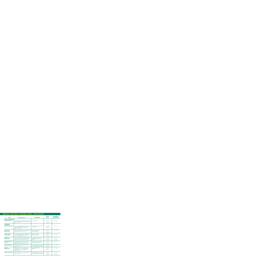#### **Seeds for Golf Course Use, continued**

| <b>ITEM</b>                                        | <b>CHARACTERISTICS</b>                                                                                                                                                             | <b>INGREDIENTS</b>                                                                        | <b>SEEDING</b><br><b>RATES</b>                        | <b>RECOMMENDED</b><br><b>PLANTING DATES</b><br>(NORTHERN HEMISPHERE) |
|----------------------------------------------------|------------------------------------------------------------------------------------------------------------------------------------------------------------------------------------|-------------------------------------------------------------------------------------------|-------------------------------------------------------|----------------------------------------------------------------------|
| <b>TEES, CONTINUED</b>                             |                                                                                                                                                                                    |                                                                                           |                                                       |                                                                      |
| <b>Zenith Zoysia Grass</b>                         | Provides a tight knitted turf that is drought and heat<br>tolerant. Density of turf will outcompete most weeds.<br>Zones: 6, 7, 8, 9, 10, 11.                                      | 100% Zoysia Grass                                                                         | 1#/1000 sq. ft.<br>0r<br>44#/acre                     | $4/1 - 8/15$                                                         |
| <b>FAIRWAYS</b>                                    |                                                                                                                                                                                    |                                                                                           |                                                       |                                                                      |
| <b>Bermuda Triangle Blend</b>                      | Provides an extremely durable, thick stand of<br>turfgrass. Bermudagrass is one of the most drought<br>tolerant and salt tolerant species available.<br>Zones: 6, 7, 8, 9, 10, 11. | A blend of 3 premier certified hybrid<br>Bermudagrasses.                                  | 2#/1000 sq. ft.<br>0r<br>88#/acre                     | $4/1 - 8/15$                                                         |
| <b>Fairway Classic</b><br><b>Ryegrass Blend</b>    | A blend of our strongest and most durable Perennial<br>Ryegrass varieties. Zones: 3, 4, 5, 6, 7, 8.                                                                                | A blend of elite proprietary<br>Perennial Ryegrasses.                                     | 6#/1000 sq. ft.<br><b>or</b><br>$260\frac{H}{2}$ acre | $4/1 \cdot 10/15$                                                    |
| <b>Fairway Creeping</b><br><b>Bentgrass Blend</b>  | Extremely attractive for light to moderate play<br>courses under high maintenance. Cutting height 1/2"<br>to $3/4$ " (12-18 mm). Zones: 2, 3, 4, 5, 6.                             | A blend of 3 to 4 unique<br>performing Bentgrasses.                                       | 2#/1000 sq. ft.<br><b>or</b><br>88#/acre              | $4/1 \cdot 10/15$                                                    |
| <b>Prestige Sod</b><br><b>Bluegrass Blend</b>      | Easy to maintain, tough and durable for moderate<br>to heavy play courses. Slow to establish. Cutting<br>height to $1/2$ " (12 mm). Zones: 3, 4, 5, 6, 7, 8.                       | 4 way blend of premier Kentucky<br><b>Bluegrasses selected for special</b><br>conditions. | 3#/1000 sq. ft.<br><b>or</b><br>$130\frac{H}{G}$ acre | $4/1 - 5/31$<br><b>or</b><br>$8/16 - 10/15$                          |
| <b>Royal Blend featuring</b><br><b>Princess 77</b> | A blend of Bermuda to provide a dense, drought<br>tolerant stand of turfgrass that accepts a low<br>mowing height - 3/8" (9 mm). Zones: 7, 8, 9, 10, 11.                           | A blend of two of the best seeded<br>hybrid Bermudagrass varieties.                       | 1#/1000 sq. ft.<br>or<br>44#/acre                     | $4/1 - 8/15$                                                         |
| <b>Rugged Wear Mixture</b>                         | Formulated for high traffic recreation areas.<br>Zones: 3, 4, 5, 6, 7, 8.                                                                                                          | 60% Kentucky Bluegrass (3 varieties)<br>40% Perennial Ryegrass (2 varieties)              | 4#/1000 sq. ft.<br>or 170#/acre                       | $4/1 \cdot 10/15$                                                    |
| <b>Signature</b><br><b>Bentgrass Blend</b>         | Extremely attractive certified blend for light to<br>moderate play courses under high maintenance.<br>Cutting height $1/2$ " to $3/4$ " (12-18 mm).<br>Zones: 2, 3, 4, 5, 6.       | A blend of certified premier<br>Bentgrasses.                                              | 2#/1000 sq. ft.<br><b>or</b><br>88#/acre              | $4/1 \cdot 10/15$                                                    |
| <b>Supreme Sports Mixture</b>                      | Easy to maintain, attractive, tough and durable.<br>Zones: 3, 4, 5, 6, 7, 8.                                                                                                       | 80% Kentucky Bluegrass (3 varieties)<br>20% Perennial Ryegrass (2 varieties)              | 4#/1000 sq. ft.<br>or<br>170#/acre                    | $4/1 \cdot 5/31$<br>or<br>$8/16 - 10/15$                             |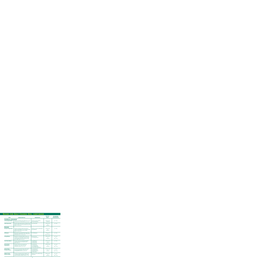#### **Seeds for Golf Course Use, continued**

| <b>ITEM</b>                                         | <b>CHARACTERISTICS</b>                                                                                                                                                                          | <b>INGREDIENTS</b>                                                                           | <b>SEEDING</b><br><b>RATES</b>                   | <b>RECOMMENDED</b><br><b>PLANTING DATES</b><br>(NORTHERN HEMISPHERE) |
|-----------------------------------------------------|-------------------------------------------------------------------------------------------------------------------------------------------------------------------------------------------------|----------------------------------------------------------------------------------------------|--------------------------------------------------|----------------------------------------------------------------------|
| <b>FAIRWAYS, CONTINUED</b>                          |                                                                                                                                                                                                 |                                                                                              |                                                  |                                                                      |
| <b>Tri-Plex Ryegrass Blend</b>                      | Useful for overseeding heavily trafficked areas. Can be<br>cut as low as $1/2$ " (12 mm). Zones: 3, 4, 5, 6, 7, 8.                                                                              | A blend of 3 elite proprietary<br>Perennial Ryegrasses.                                      | 6#/1000 sq. ft.<br>or 260#/acre                  | $4/1 \cdot 10/15$                                                    |
| <b>Zenith Zoysia Grass</b>                          | Provides a tight knitted turf that is drought and heat<br>tolerant. Density of turf will outcompete most weeds.<br>Zones: 6, 7, 8, 9, 10, 11.                                                   | 100% Zoysia grass                                                                            | 1#/1000 sq. ft.<br><b>or</b><br>44#/acre         | $4/1 - 8/15$                                                         |
| <b>ROUGHS</b>                                       |                                                                                                                                                                                                 |                                                                                              |                                                  |                                                                      |
| <b>Bermuda Triangle Blend</b>                       | Provides an extremely durable, thick stand of<br>turfgrass. Bermudagrass is one of the most drought<br>tolerant and salt tolerant species available.<br>Zones: 6, 7, 8, 9, 10, 11.              | A blend of 3 premier certified hybrid<br>Bermudagrasses.                                     | 2#/1000 sq. ft.<br><b>or</b><br>88#/acre         | $4/1 - 8/15$                                                         |
| <b>Buffalograss</b>                                 | Well suited to dry, well drained soils native to the<br>Great Plains of North America, Zones: Arid and Semi-<br>Arid portions of 4, 5, 6, 7, 8, 9, 10, 11.                                      | 100% Buffalograss                                                                            | 2#/1000 sq. ft.<br>or<br>88#/acre (burrs)        | $4/1 - 8/15$                                                         |
| <b>Ecology Mixture</b>                              | Designed for ecologically fragile sites where use<br>of fertilizers are discouraged or banned. Ideal for<br>unmown slopes and minimal maintenance areas,<br>sun or shade. Zones: 3, 4, 5, 6, 7. | 80% Hard Fescue<br>20% Chewings Fescue                                                       | 4#/1000 sq. ft.<br>or<br>$170\frac{H}{G}$ acre   | $4/1 \cdot 5/31$<br><b>or</b><br>$8/15 - 10/15$                      |
| <b>Great Plains Mixture</b>                         | A mixture of grasses to provide good turfgrass<br>coverage that is heat and drought tolerant.<br>Zones: Lower 7, 8.                                                                             | 40% Buffalograss<br>40% Blue Grama<br>20% Hard Fescue                                        | 3#/1000 sq. ft.<br>or<br>130#/acre               | $4/1 - 8/15$                                                         |
| <b>Reclaim Native</b><br><b>Rough Mixture</b>       | Provides an attractive, fine textured, low<br>maintenance cover, reminiscent of old<br>Scottish links. Zones: 3, 4, 5, 6, 7, 8.                                                                 | 60% Hard Fescue<br>20% Little Bluestem<br>10% Chewings Fescue<br>10% Azure Blue Sheep Fescue | 2.5#/1000 sq. ft.<br>or<br>$100\frac{H}{2}$ acre | $4/1 \cdot 5/31$<br><b>or</b><br>$8/15 - 10/15$                      |
| <b>Reclaim Native</b><br><b>Shortgrass Mixture</b>  | An attractive low-growing mixture with superior<br>heat and drought tolerance. Perfect for use<br>on embankments. Zones: 3, 4, 5, 6, 7, 8.                                                      | 40% Little Bluestem<br>30% Sheep Fescue<br>15% Side Oats Grama<br>15% Blue Grama             | $1.5$ #/1000 sq. ft.<br><b>or</b><br>6o#/acre    | $4/1 - 5/31$<br><b>or</b><br>$8/15 - 10/15$                          |
| <b>Signature Series</b><br><b>Tall Fescue Blend</b> | Provides an exceptional stand of turfgrass in sun<br>or moderate shade. Outstanding color, density,<br>texture and disease resistance. Zones: 5, 6, 7, 8.                                       | A blend of 3 elite certified Turf Type<br><b>Tall Fescues.</b>                               | 8#/1000 sq. ft.<br>or<br>350#/acre               | $4/1 - 5/31$<br>or<br>$8/15 - 10/15$                                 |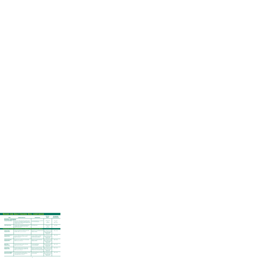#### **Seeds for Golf Course Use, continued**

| <b>ITEM</b>                                                   | <b>CHARACTERISTICS</b>                                                                                                                                                                         | <b>INGREDIENTS</b>                                                                                                                           | <b>SEEDING</b><br><b>RATES</b>                                                                                                   | <b>RECOMMENDED</b><br><b>PLANTING DATES</b><br>(NORTHERN HEMISPHERE) |
|---------------------------------------------------------------|------------------------------------------------------------------------------------------------------------------------------------------------------------------------------------------------|----------------------------------------------------------------------------------------------------------------------------------------------|----------------------------------------------------------------------------------------------------------------------------------|----------------------------------------------------------------------|
| ROUGHS, CONTINUED                                             |                                                                                                                                                                                                |                                                                                                                                              |                                                                                                                                  |                                                                      |
| <b>Summer Stress Mixture</b>                                  | Use in sun or shade where heat, drought and wear<br>tolerance are a consideration. Especially useful for<br>moderate to dense shade where Bermudagrass will<br>not persist. Zones: 5, 6, 7, 8. | 90% Turf Type Tall Fescue (3 varieties)<br>10% Kentucky Bluegrass                                                                            | 5#/1000 sq. ft.<br>or<br>$220\frac{H}{2}$ acre                                                                                   | $4/1 \cdot 5/31$<br>or<br>$8/15 - 10/15$                             |
| <b>Zenith Zoysia Grass</b>                                    | Provides a dense, moderately fine textured stand<br>of turfgrass that is drought and heat tolerant.<br>Zones: 6, 7, 8, 9, 10, 11.                                                              | 100% Zoysia Grass                                                                                                                            | 1#/1000 sq. ft.<br>or<br>44#/acre                                                                                                | $4/1 - 8/15$                                                         |
|                                                               | <b>OVERSEEDING DORMANT BERMUDAGRASS TO PROVIDE A WINTER PLAYING SERVICE</b>                                                                                                                    |                                                                                                                                              |                                                                                                                                  |                                                                      |
| <b>Fairway Classic</b><br><b>Ryegrass Blend</b>               | A blend of durable Perennial Ryegrasses for late<br>transition. Zones: 3, 4, 5, 6, 7, 8, 9, 10.                                                                                                | A blend of our most durable Perennial<br>Ryegrass varieties.                                                                                 | Tees: 15#(+)/1000 sq. ft.<br>Greens: $30\frac{H}{H}(+)$ /1000 sq. ft.<br>Fairways & Roughs:<br>$400\frac{H}{I}(+) / \text{acre}$ | $8/15 - 11/30$                                                       |
| <b>Professional's Select QT</b><br><b>Ryegrass Blend</b>      | A blend of Ryegrasses designed to be durable during<br>the season and provide an easier transition.<br>Zones: 6, 7, 8, 9, 10.                                                                  | A blend of Ryegrasses designed to be<br>durable during the season and<br>provide an easier transition.                                       | Tees: 10#(+)/1000 sq. ft.<br>Greens: 25#(+)/1000 sq. ft.<br>Fairways & Roughs:<br>$400\frac{H}{I+1}$ /acre                       | $8/15 - 11/30$                                                       |
| <b>Professional's Select</b><br><b>Ryegrass Blend</b>         | Dark green color; provides fast, accurate putting.<br>Zones: 3, 4, 5, 6, 7, 8, 9, 10.                                                                                                          | A blend of 3 proprietary Perennial<br>Ryegrass varieties.                                                                                    | Tees: $15\#(+) / 1000$ sq. ft.<br>Greens: 30#(+)/1000 sq. ft.<br>Fairways & Roughs:<br>$400\frac{H(t)}{2}$ acre                  | $8/15 - 11/30$                                                       |
| <b>Sports Club</b><br><b>Ryegrass Blend</b>                   | An all purpose blend for roughs and fairways.<br>Zones: 3, 4, 5, 6, 7, 8, 9, 10.                                                                                                               | 60% Perennial Ryegrass<br>40% Annual Ryegrass                                                                                                | Tees: $20\frac{H}{I}(+)$ /1000 sq. ft.<br>Fairways & Roughs:<br>$400\frac{H(t)}{H(t)}$ acre                                      | $8/15 - 11/30$                                                       |
| <b>Sunrise Primo</b><br><b>Ryegrass Blend</b>                 | For greens, fairways and tees. The most wear<br>tolerant overseeding formula available today.<br>Zones: 3, 4, 5, 6, 7, 8, 9, 10.                                                               | A blend of 3 proprietary Perennial<br>Ryegrass varieties that are certified,<br>Penkoted <sup>®</sup> and of TournamenT Quality <sup>™</sup> | Tees: 15#(+)/1000 sq. ft.<br>Greens: $35\#(+)/1000$ sq. ft.<br>Fairways & Roughs:<br>$400\frac{H(t)}{H(t)}$ acre                 | $8/15 - 11/30$                                                       |
| <b>Sunrise Primo Ryegrass</b><br><b>Blend w/Poa trivialis</b> | Poa trivialis adds a fine textured quality to a mixture<br>when included with Perennial Ryegrass for<br>overseeding. Zones: 6, 7, 8, 9, 10.                                                    | 85% Perennial Ryegrass (3 varieties)<br>15% Poa trivialis                                                                                    | Tees: 15#(+)/1000 sq. ft.<br>Greens: $30\frac{H}{H}(+)/1000$ sq. ft.<br>Fairways & Roughs:<br>$400\frac{H(t)}{2}$ acre           | $8/15 - 11/30$                                                       |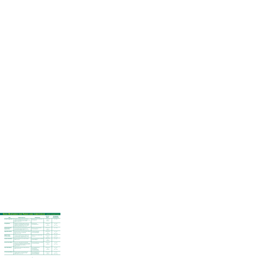#### **Seed Mixtures for Parks and Cemeteries - listed alphabetically**

| <b>ITEM</b>                                           | <b>CHARACTERISTICS</b>                                                                                                                                                                                                   | <b>INGREDIENTS</b>                                                                          | <b>SEEDING</b><br><b>RATES</b>                        | <b>RECOMMENDED</b><br><b>PLANTING DATES</b><br>(NORTHERN HEMISPHERE) |
|-------------------------------------------------------|--------------------------------------------------------------------------------------------------------------------------------------------------------------------------------------------------------------------------|---------------------------------------------------------------------------------------------|-------------------------------------------------------|----------------------------------------------------------------------|
| <b>Bermuda Triangle Blend</b>                         | Provides an extremely durable, thick stand of<br>turfgrass. Bermudagrass is one of the most drought<br>tolerant and salt tolerant species available.<br>Zones: 6, 7, 8, 9, 10, 11.                                       | A blend of 3 premier certified hybrid<br>Bermudagrasses.                                    | 2#/1000 sq. ft.<br><b>or</b><br>88#/acre              | $4/1 - 8/15$                                                         |
| <b>Ecology Mixture</b>                                | Designed for ecologically fragile sites where use<br>of fertilizers are discouraged or banned. Minimal<br>maintenance; attractive for use in sun or shade.<br>Ideal for unmown slopes. Zones: 3, 4, 5, 6.                | 80% Hard Fescue<br>20% Chewings Fescue                                                      | 4#/1000 sq. ft.<br><b>or</b><br>170#/acre             | $4/1 - 5/31$<br>or<br>$8/16 - 10/15$                                 |
| <b>Professional's Select</b><br><b>Ryegrass Blend</b> | Three elite proprietary varieties blended to provide<br>the best disease resistant, dark green, wear<br>tolerant stand of turfgrass. Zones: 3, 4, 5, 6, 7, 8.                                                            | A blend of 3 premier proprietary<br>Perennial Ryegrasses.                                   | 6#/1000 sq. ft.<br>or<br>$260\frac{H}{2}$ acre        | $4/1 - 12/15$                                                        |
| <b>Rugged Wear Mixture</b>                            | All purpose mixture to meet many general conditions.<br>May be used in full sun or light shade.<br>Zones: 3, 4, 5, 6, 7, 8.                                                                                              | 60% Kentucky Bluegrass<br>40% Perennial Ryegrass                                            | 4#/1000 sq. ft.<br>170#/acre                          | $4/1 \cdot 5/31$<br>or<br>$8/16 \cdot 10/15$                         |
| <b>Signature Series</b><br><b>Tall Fescue Blend</b>   | Provides an exceptional stand of turfgrass in sun<br>or moderate shade. Outstanding color, density,<br>texture and disease resistance. Zones: 5, 6, 7, 8.                                                                | A blend of 3 elite certified Turf Type<br><b>Tall Fescues.</b>                              | 8#/1000 sq. ft.<br>or<br>350#/acre                    | $4/1 - 5/31$<br>or<br>$8/15 - 11/15$                                 |
| <b>Southern Park Mixture</b>                          | All purpose mixture for use in warmer climates.<br>Zones: 5, 6, 7, 8.                                                                                                                                                    | 90% Turf Type Tall Fescue (3 varieties)<br>10% Bermudagrass                                 | 5#/1000 sq. ft.<br><b>or</b><br>$220\frac{H}{act}$    | $4/1 - 5/31$                                                         |
| <b>Summer Stress Mixture</b>                          | Use in sun or shade where heat and drought<br>tolerance are a consideration. Provides an attractive<br>turf. Especially useful for moderate to dense shade<br>where Bermudagrass will not persist.<br>Zones: 5, 6, 7, 8. | 90% Turf Type Tall Fescue (3 varieties)<br>10% Kentucky Bluegrass                           | 5#/1000 sq. ft.<br>or<br>$220\frac{H}{2}$ acre        | $4/1 - 5/31$<br>or<br>$8/16 - 10/15$                                 |
| <b>Super Shade Mixture</b>                            | Includes grasses with proven shade performance.<br>Zones: 3, 4, 5, 6, 7, 8.                                                                                                                                              | 40% Creeping Red Fescue<br>30% Hard Fescue<br>20% Chewings Fescue<br>10% Kentucky Bluegrass | 4#/1000 sq. ft.<br>or<br>$170\frac{H}{G}$ acre        | $4/1 \cdot 5/31$<br>or<br>$8/16 \cdot 10/15$                         |
| <b>Tri-Plex General Mixture</b>                       | All purpose mixture to meet practically every<br>condition. May be used in full sun or light<br>shade. Zones: 3, 4, 5, 6, 7, 8.                                                                                          | 34% Creeping Red Fescue<br>33% Perennial Ryegrass<br>33% Kentucky Bluegrass                 | 4#/1000 sq. ft.<br><b>or</b><br>$170\frac{H}{G}$ acre | $4/1 - 5/31$<br>or<br>$8/16 \cdot 10/15$                             |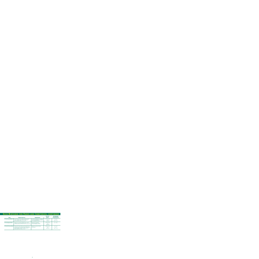# **Seed Mixtures for Parks and Cemeteries, continued**

| <b>ITEM</b>                        | <b>CHARACTERISTICS</b>                                                                                                                                                                                  | <b>INGREDIENTS</b>                                                                                      | <b>SEEDING</b><br><b>RATES</b>                   | <b>RECOMMENDED</b><br><b>PLANTING DATES</b><br>(NORTHERN HEMISPHERE) |
|------------------------------------|---------------------------------------------------------------------------------------------------------------------------------------------------------------------------------------------------------|---------------------------------------------------------------------------------------------------------|--------------------------------------------------|----------------------------------------------------------------------|
| <b>Tri-Plex General Mixture II</b> | An all purpose mixture ideally suited for northern<br>lawns - provides a good stand of turfgrass in<br>sun and shade. Zones: 3, 4, 5, 6, 7, 8.                                                          | 50% Perennial Ryegrass (2 varieties)<br>30% Kentucky Bluegrass (2 varieties)<br>20% Creeping Red Fescue | $6#/1000$ sq. ft.<br>or<br>$260\frac{H}{2}$ acre | $4/1 \cdot 5/31$<br>or<br>$8/15 \cdot 10/15$                         |
| <b>Tri-Plex Ryegrass Blend</b>     | Ideal for use on heavily trafficked areas. Quick to<br>establish, attractive and durable. Zones: 3, 4, 5, 6, 7, 8.                                                                                      | A blend of 3 proprietary<br>Perennial Ryegrass varieties.                                               | $6#/1000$ sq. ft.<br>or<br>$260\frac{H}{2}$ acre | $4/1 - 10/15$                                                        |
| <b>Tri-Plex Tall Fescue Blend</b>  | A blend of Turf Type Tall Fescues that perform well<br>in either full sun or moderate shade. These grasses<br>tolerate drought and wear to provide cover for<br>intense traffic use. Zones: 5, 6, 7, 8. | A blend of 3 premier Turf Type<br><b>Tall Fescues.</b>                                                  | $8#/1000$ sq. ft.<br>or<br>$350\frac{H}{2}$ acre | $4/1 \cdot 5/31$<br>or<br>$8/15 - 11/15$                             |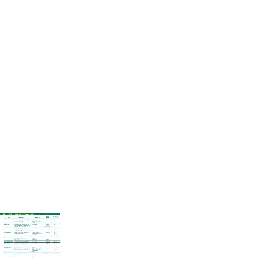#### **Seed Mixtures for Pastures - listed alphabetically**

| <b>ITEM</b>                                      | <b>CHARACTERISTICS</b>                                                                                                                                                                              | <b>INGREDIENTS</b>                                                                                                                      | <b>SEEDING</b><br><b>RATES</b>                 | <b>RECOMMENDED</b><br><b>PLANTING DATES</b><br>(NORTHERN HEMISPHERE) |
|--------------------------------------------------|-----------------------------------------------------------------------------------------------------------------------------------------------------------------------------------------------------|-----------------------------------------------------------------------------------------------------------------------------------------|------------------------------------------------|----------------------------------------------------------------------|
| <b>All Season Mixture</b>                        | An ideal combination of grasses and legumes for<br>livestock producers in areas of light to moderate<br>snow cover to provide high quality, palatable forage<br>all season long. Zones: 5, 6.       | 55% Orchardgrass<br>25% Timothy<br>10% Tetraploid Perennial Ryegrass<br>5% Diploid Perennial Ryegrass<br>5% Clover                      | 30-40#/acre                                    | $4/1 \cdot 5/31$<br>or<br>$9/1 \cdot 10/31$                          |
| <b>Buffalograss</b>                              | Well suited to dry, well drained soils native to the<br><b>Great Plains of North America, Zones: Arid and Semi-</b><br>Arid portions of 4, 5, 6, 7, 8, 9, 10, 11.                                   | 100% Buffalograss                                                                                                                       | 2#/1000 sq. ft.<br>or<br>88#/acre (burrs)      | $4/1 - 8/15$                                                         |
| <b>Cheyenne Bermudagrass</b>                     | Provides an extremely durable, thick pasture and<br>makes excellent hay. Cheyenne is one of the most<br>drought, cold, and salt tolerant Bermuda varieties<br>available. Zones: 6, 7, 8, 9, 10, 11. | 100% Bermudagrass                                                                                                                       | 15#/acre                                       | $4/1 - 8/15$                                                         |
| <b>Fall Feeder Mixture</b>                       | A mixture designed to provide high quality feed<br>late into the season. Zones: 5, 6.                                                                                                               | 70% MaxQ™ Tall Fescue<br>10% Tetraploid Perennial Ryegrass<br>10% Timothy<br>5% Diploid Perennial Ryegrass<br>5% Clover                 | 30-40#/acre                                    | $4/1 - 5/31$<br><b>or</b><br>$9/1 \cdot 10/31$                       |
| <b>Great Plains Mixture</b>                      | A mixture of grasses to provide good<br>coverage that is heat and drought tolerant.<br>Zones: 6, 7, 8.                                                                                              | 40% Buffalograss<br>40% Blue Grama<br>20% Hard Fescue                                                                                   | 3#/1000 sq. ft.<br>or<br>$130\frac{H}{G}$ acre | $4/1 - 8/15$                                                         |
| <b>Jesup Minus Tall Fescue</b>                   | Fungus free. Excellent seedling vigor. Zones: 6, 7, 8.                                                                                                                                              | 100% Tall Fescue                                                                                                                        | 20-25#/acre                                    | $9/1 - 11/1$                                                         |
| MaxQ <sup>™</sup> Enhanced<br><b>Tall Fescue</b> | Non toxic forage tall fescue. Excellent plant<br>persistence. Non toxic endophyte for excellent<br>animal performance. Abundant high quality forage.<br>Zones: 6, 7, 8.                             | 100% Tall Fescue                                                                                                                        | $20-25#/acre$                                  | $9/1 - 11/1$                                                         |
| <b>Overseeding Mixture</b>                       | An outstanding mixture of grasses and legumes for<br>frost seeding, dormant seeding, or drilling to<br>thicken and/or repair existing pastures. Zones: 5, 6.                                        | 35% Diploid Annual Ryegrass<br>20% Tetraploid Perennial Ryegrass<br>20% Diploid Perennial Ryegrass<br>10% Hybrid Ryegrass<br>15% Clover | 30-40#/acre                                    | $4/1 - 5/31$<br><b>or</b><br>$9/1 \cdot 10/31$                       |
| <b>Passerel Plus</b>                             | Widely adapted Annual Ryegrass. Late maturing,<br>cold tolerant, rust resistant, high yielding.<br>Zones: 5, 6, 7, 8, 9.                                                                            | 100% Annual Ryegrass                                                                                                                    | 25-35#/acre                                    | $9/1 - 11/1$                                                         |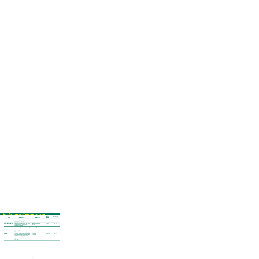#### **Seed Mixtures for Pastures, continued**

| <b>ITEM</b>                                             | <b>CHARACTERISTICS</b>                                                                                                                                                                              | <b>INGREDIENTS</b>                                  | <b>SEEDING</b><br><b>RATES</b>      | <b>RECOMMENDED</b><br><b>PLANTING DATES</b><br>(NORTHERN HEMISPHERE) |
|---------------------------------------------------------|-----------------------------------------------------------------------------------------------------------------------------------------------------------------------------------------------------|-----------------------------------------------------|-------------------------------------|----------------------------------------------------------------------|
| <b>Pennleaf</b>                                         | Hybrid Pearl Millet. Rapid regrowth. Tolerates low pH,<br>high quality summer annual. Excellent leaf to stem<br>ratio and drought tolerance. Excellent<br>emergency pasture. Zones: all.            | 100% Pearl Millet                                   | $25-30#/accre$                      | $4/15 - 6/15$                                                        |
| <b>Perfecta Pasture Mixture</b>                         | Designed for pastureland for horses, cattle, sheep,<br>or other livestock. Also good for areas with<br>minimal maintenance, Zones: all.                                                             | <b>Blended for specific climatic</b><br>conditions. | 25#/acre                            | $9/1 - 11/1$                                                         |
| <b>Ranchero Frio Brand</b><br><b>Bermudagrass Blend</b> | A blend of Bermudagrasses to provide outstanding<br>protein and hay. Zones: 7, 8, 9, 10, 11.                                                                                                        | 100% Bermudagrass                                   | $15\frac{\text{#}}{\text{arc}}$     | $4/1 - 8/15$                                                         |
| <b>Summergrazer III</b>                                 | Hybrid Sorghum Sudangrass. Widely adapted with<br>rapid regrowth. Provides emergency pasture.<br>Zones: all.                                                                                        | 100% Sorghum Sudangrass                             | 20-25#/acre grazing<br>50#/acre hay | $4/15 - 6/15$                                                        |
| <b>Supergraze</b>                                       | Cold tolerant, rust resistant, late maturing mixture<br>of cool season annual grasses. Will provide grazing<br>in 30-45 days. Grazing from late fall through<br>early summer. Zones: 5, 6, 7, 8, 9. | 75% Grain Rye<br>25% Ryegrass                       | 100-125#/acre                       | $9/1 - 11/1$                                                         |
| <b>Wintergrazer 70</b>                                  | Excellent late fall and winter forage. Cold tolerant,<br>widely adaptable, tolerates acidic soils.<br>Zones: 5, 6, 7, 8, 9.                                                                         | 100% Rye Grain                                      | 100-125#/acre                       | $9/1 - 11/1$                                                         |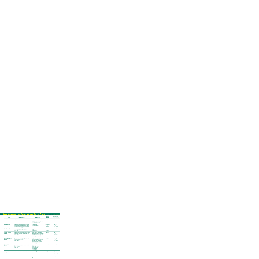### **Seed Mixtures for Meadows and Native Areas - listed alphabetically**

| <b>ITEM</b>                                        | <b>CHARACTERISTICS</b>                                                                                                                                                                       | <b>INGREDIENTS</b>                                                                                                                                                                                                    | <b>SEEDING</b><br><b>RATES</b>                 | <b>RECOMMENDED</b><br><b>PLANTING DATES</b><br>(NORTHERN HEMISPHERE) |
|----------------------------------------------------|----------------------------------------------------------------------------------------------------------------------------------------------------------------------------------------------|-----------------------------------------------------------------------------------------------------------------------------------------------------------------------------------------------------------------------|------------------------------------------------|----------------------------------------------------------------------|
| <b>Annual Wildflower</b><br><b>Mixture</b>         | Very showy mixture of all annual wildflowers that<br>will bloom from spring until frost.<br>Zones: 3, 4, 5, 6, 7, 8.                                                                         | Contains: Bachelor Button, Baby's<br>Breath, Scarlet Flax, Calendula,<br>Cosmos, Indian Blanket, Corn Poppy,<br>Catchfly, Baby Snapdragon, Sulphur<br><b>Cosmos, Plains Coreoposis</b>                                | $16\frac{H}{\text{acre}}$                      | $4/1 - 5/31$                                                         |
| <b>Ecology Mixture</b>                             | Designed for ecologically fragile sites where use<br>of fertilizers are discouraged or banned. Ideal for<br>unmown slopes and minimal maintenance areas,<br>sun or shade. Zones: 3, 4, 5, 6. | 80% Hard Fescue<br>20% Chewings Fescue                                                                                                                                                                                | 4#/1000 sq. ft.<br>or<br>$170\frac{H}{G}$ acre | $4/1 - 5/31$<br>or<br>$8/15 - 10/15$                                 |
| <b>Great Plains Mixture</b>                        | A mixture of grasses to provide good<br>coverage that is heat and drought tolerant.<br>Zones: 7, 8.                                                                                          | 40% Buffalograss<br>40% Blue Grama<br>20% Hard Fescue                                                                                                                                                                 | 5#/1000 sq. ft.<br>or<br>125#/acre             | $4/1 - 8/15$                                                         |
| <b>Northern Wildflower</b><br><b>Mixture</b>       | Easy to establish, persistent and attractive mixture<br>of wildflower species for a colorful, natural look.<br>Zones: 4, 5, 6.                                                               | Contains: Bachelor Button, Lance-<br>Leaved Coreopsis, Baby's Breath, Baby<br>Snapdragon, Scarlet Flax, Lewis Flax,<br>Evening Primrose, Corn Poppy,<br>Catchfly, Black Eyed Susan,<br>Purple Coneflower, Oxeye Daisy | $16\frac{H}{\text{acre}}$                      | $4/1 - 5/31$<br>or<br>$8/16 - 10/1$                                  |
| <b>Perennial Wildflower</b><br><b>Mixture</b>      | Colorful mixture of perennial wildflowers for use<br>in low maintenance meadows.<br>Zones: 5, 6, 7, 8.                                                                                       | Contains: Lance-Leaved Coreoposis,<br>Black Eyed Susan, Purple Coneflower,<br>Oxeye Daisy, Lewis Flax, Blanket<br>Flower, Dames Rocket, Yarrow, Gay<br>Feather, New England Astor,<br><b>California Poppy</b>         | $16\frac{H}{\text{acre}}$                      | $4/1 - 5/31$<br>or<br>$8/15 - 10/15$                                 |
| <b>Reclaim Native Grass</b><br><b>Mixture</b>      | Broadly adapted native mixture. Slow to establish.<br>Tolerates poor soil conditions. Reaches a mature<br>height of 3-5 feet.<br>Zones: 3, 45, 6.                                            | 30% Little Bluestem<br>20% Indiangrass<br>20% Azure Blue Fescue<br>15% Side Oats Grama<br>10% Big Bluestem<br>5% Switchgrass                                                                                          | 40-60#/acre                                    | $4/1 - 6/15$                                                         |
| <b>Reclaim Native</b><br><b>Shortgrass Mixture</b> | An attractive low-growing mixture with superior<br>heat and drought tolerance. Perfect for use<br>on embankments.<br>Zones: 3, 4, 5, 6, 7, 8.                                                | 40% Little Bluegrass<br>30% Sheep Fescue<br>15% Side Oats Grama<br>15% Blue Grama                                                                                                                                     | 6o#/acre*                                      | $4/1 - 5/31$<br>or<br>$8/15 \cdot 10/15$                             |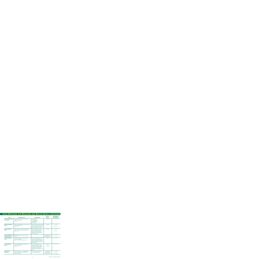# **Seed Mixtures for Meadows and Native Areas, continued**

| <b>ITEM</b>                                                    | <b>CHARACTERISTICS</b>                                                                                                     | <b>INGREDIENTS</b>                                                                                                                                                                                                                          | <b>SEEDING</b><br><b>RATES</b>                              | <b>RECOMMENDED</b><br><b>PLANTING DATES</b><br>(NORTHERN HEMISPHERE) |
|----------------------------------------------------------------|----------------------------------------------------------------------------------------------------------------------------|---------------------------------------------------------------------------------------------------------------------------------------------------------------------------------------------------------------------------------------------|-------------------------------------------------------------|----------------------------------------------------------------------|
| <b>Reclaim Southeast Native</b><br><b>Grass Mixture</b>        | Specially formulated mixture for southeastern<br><b>United States conditions.</b><br>Zones: 7, 8.                          | 35% Indiangrass<br>20% Little Bluestem<br>20% Switchgrass<br>15% Big Bluestem<br>10% Lovegrass                                                                                                                                              | 40-60#/acre                                                 | $3/1 - 5/31$                                                         |
| <b>Semi-Shady Wildflower</b><br><b>Mixture</b>                 | Mixture especially designed to grow in most areas<br>in partially shaded sites.<br>Zones: 4, 5, 6.                         | Contains: Baby's Breath, Lance-Leaved<br>Coreoposis, Purple Coneflower, Rocket<br>Larkspur, Black Eyed Susan, Dames<br>Rocket, Oxeye Daisy, Corn Poppy                                                                                      | $16\frac{H}{2}$ acre*                                       | $4/1 - 5/31$<br>or<br>$8/15 \cdot 10/15$                             |
| <b>Southern Wildflower</b><br><b>Mixture</b>                   | Colorful mixture specifically designed for sunbelt<br>states. Includes twelve persistent wildflowers.<br>Zones: 6, 7, 8.   | Contains: Baby's Breath, Annual<br>Mallow, Scarlet Flax, Chicory, Dames<br>Rocket, Painted Daisy, Sulphur<br>Cosmos, Lance-Leaved Coreopsis,<br>Black Eyed Susan, Indian Blanket,<br><b>Oxeye Daisy, Cosmos</b>                             | $16\frac{H}{2}$ acre*                                       | $3/1 \cdot 5/15$<br><b>or</b><br>$9/1 - 11/1$                        |
| <b>Texarkana Wildflower and</b><br><b>Buffalograss Mixture</b> | Buffalograss will help to prevent soil erosion.<br>Zones: 7, 8.                                                            |                                                                                                                                                                                                                                             | 16# wildflowers and<br>44# Buffalograss/acre*               | $9/1 - 11/1$                                                         |
| <b>Texarkana Wildflower</b><br><b>Mixture</b>                  | A mixture of wildflowers specially designed for<br>arid climatic conditions.<br>Zones: Arid and Semi-Arid regions of 7, 8. | <b>Contains: Texas Bluebonnets, Indian</b><br>Blanket, Black Eyed Susan, Plains<br>Coreopsis, Chicory, Blue Flax, Evening<br>Primrose, Sulphur Cosmos, Rocket<br>Larkspur, Mexican Hat, Annual Phlox,<br><b>Bachelor Buttons</b>            | $16\#/acre*$                                                | $9/1 - 11/1$                                                         |
| <b>Tropical Wildflower</b><br><b>Mixture</b>                   | A mixture of wildflowers especially suited for<br>hot and humid climates.<br>Zones: 8, 9.                                  | <b>Contains: Indian Blanket, Plains</b><br>Coreopsis, Annual Phlox, Clasping<br>Coneflower, Oxeye Daisy, Sulphur,<br>Cosmos, Scarlet Sage, Texas Plume,<br>Sweet Alyssum, Lance-Leaved<br>Coreopsis, Scarlet Flax, Painted Daisy,<br>Cosmos | 2#/5000 sq. ft.<br>or<br>$16\frac{H}{\text{acre}}$          | $10/1 - 2/15$                                                        |
| <b>Wildflower and</b><br><b>Fine Fescues</b>                   | Hard or sheep fescue is a non-aggressive grass<br>which helps prevent soil erosion while the<br>wildflowers establish.     | Hard or Sheep Fescue with your<br>choice of wildflower mixture.                                                                                                                                                                             | 16# wildflowers<br>25# Hard Fescue or<br>Sheep Fescue/acre* | $4/1 - 5/31$<br>or<br>$8/15 \cdot 10/15$                             |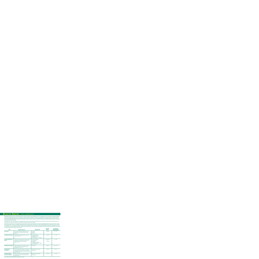#### **Wildlife Habitat - listed alphabetically**

Rackmaster fall mixtures contain many annual grasses mixed with annual and perennial legumes. Like the spring mixtures, the fall mixes are regionally developed to provide the best plantings money can buy for your area. Cool season plots are important to help build up carbohydrates needed as stored fat to survive the harsh winter months. Maintaining good body conditioning through the rut and the winter season can mean a big difference in a wildlife management program. Passerel Plus Annual Ryegrass, Wintergrazer 70 Rye, Ladino white clover, alfalfa, red clover, crimson clover, wheat, oats and Austrian winter peas are just a few of the ingredients found in Rackmaster mixtures.

\*All Rackmaster products are coated with a unique germination enhancement treatment called GermMax. This treatment will make the seed germinate faster, produce deeper roots, and make food plots more palatable, nutritious and attractive to wildlife.

Rackmaster spring mixtures are truly important for a good spring and summer planting program. Deer need a good high quality food source in the summer months more than any other time of year. Rackmaster will provide the fuel to develop antler mass, body size, milk for developing fawns and overall health for the entire deer herd. Soybeans, iron and clay peas, buckwheat, sunflower, millet, sorghum and in some areas, deer vetch make up the perfect mixture of seed ingredients to create an ideal food source and excellent cover for deer, turkey, dove and quail. High in protein and extremely palatable, Rackmaster summer plots provide deer with proper nutrition throughout the spring and summer months.

| <b>ITEM</b>                                             | <b>CHARACTERISTICS</b>                                                                                                                                                                  | <b>INGREDIENTS</b>                                                                                                                 | <b>SEEDING</b><br><b>RATES</b>                | <b>RECOMMENDED</b><br><b>PLANTING DATES</b><br>(NORTHERN HEMISPHERE) |
|---------------------------------------------------------|-----------------------------------------------------------------------------------------------------------------------------------------------------------------------------------------|------------------------------------------------------------------------------------------------------------------------------------|-----------------------------------------------|----------------------------------------------------------------------|
| <b>Deer Greens</b>                                      | Cool season annual forage. High protein. Use in<br>mixture or alone. Prolific green winter forage.<br>Zones: all.                                                                       | 50% Rape<br>30% Kale<br>20% Turnip                                                                                                 | $10\frac{H}{G}$ acre                          | $9/1 - 11/1$                                                         |
| <b>Pennington Duck Mixture</b>                          | Provides feeding areas along lakes, ponds, and<br>swamps. Zones: 6, 7, 8.                                                                                                               | 60% Japanese Millet<br>20% White Proso Millet<br>10% Buckwheat<br>10% Penngrain DR Grain Sorghum                                   | $40\frac{H}{2}$ acre                          | $4/1 - 8/15$                                                         |
| <b>Pennington Wild Turkey</b><br><b>Mixture</b>         | A mixture of perennial grasses and common grains<br>which will give you permanent cover and can be<br>stripped every year with other plantings.<br>Zones: 5, 6, 7, 8.                   | 20% Pensacola Bahia<br>20% Buckwheat<br>20% Chufas<br>20% White Proso Millet<br>15% Penngrain DR Grain Sorghum<br>5% Ladino Clover | 2#/1000 sq. ft.<br>or<br>$40\frac{H}{2}$ acre | $4/1 - 8/15$                                                         |
| <b>Rackmaster Clover Blend</b>                          | Produces high quality clover forage to aid antler<br>development and animal health for deer and<br>wild turkey. Zones: 5, 6, 7, 8.                                                      | 100% Clover                                                                                                                        | 8#/acre                                       | $8/15 \cdot 10/15$                                                   |
| <b>Rackmaster Fall</b><br><b>Deer Mixture</b>           | A mixture of grasses and legumes for fall planting<br>that will give the deer and turkey a steady source of<br>nutritional food throughout the winter and spring<br>season. Zones: all. | <b>Blended for specific climatic</b><br>requirements.                                                                              | 75#/acre                                      | $8/15 - 11/1$                                                        |
| <b>Rackmaster Spring/</b><br><b>Summer Deer Mixture</b> | A mixture of warm season annuals developed to<br>provide proper nutrition to maintain the health<br>of the deer herd.                                                                   | <b>Blended for specific climatic</b><br>requirements.                                                                              | 50#/acre                                      | $4/1 - 8/1$                                                          |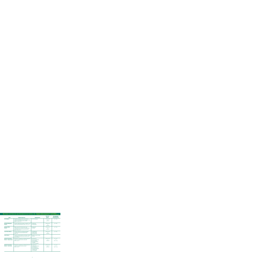#### **MIXTURES FOR EROSION AND SEDIMENTATION CONTROL ON: CHANNELS, DUMP AND LOGGING SITES, STORM WATER**

| <b>ITEM</b>                                                  | <b>CHARACTERISTICS</b>                                                                                                                                                             | <b>INGREDIENTS</b>                                                                                                                                | <b>SEEDING</b><br><b>RATES</b>                                   | <b>RECOMMENDED</b><br><b>PLANTING DATES</b><br>(NORTHERN HEMISPHERE) |
|--------------------------------------------------------------|------------------------------------------------------------------------------------------------------------------------------------------------------------------------------------|---------------------------------------------------------------------------------------------------------------------------------------------------|------------------------------------------------------------------|----------------------------------------------------------------------|
| <b>Bermudagrass</b>                                          | Provides an extremely durable, thick stand of<br>turfgrass. Bermudagrass is one of the most drought<br>tolerant and salt tolerant species available.<br>Zones: 6, 7, 8, 9, 10, 11. | 100% Bermudagrass                                                                                                                                 | 1#/1000 sq. ft.<br>or<br>44#/acre                                | $4/1 - 8/15$                                                         |
| <b>Bermuda/Bahiagrass</b><br><b>Mixture</b>                  | A mixture of Bermuda and bahia to establish a quick<br>stand of turf that will persist. Zones: 7, 8, 9, 10, 11.                                                                    | 50% Bermuda<br>50% Bahiagrass                                                                                                                     | $1#/1000$ sq. ft.<br>or<br>44#/acre                              | $4/1 - 8/15$                                                         |
| <b>Bermuda/Millet</b><br><b>Mixture</b>                      | Millet is mixed with the Bermuda for quick<br>establishment as a nurse grass. The millet will die<br>out leaving the Bermuda as a permanent grass.<br>Zones: 7, 8, 9, 10. 11.      | 80% Bermuda<br>20% Millet                                                                                                                         | 1#/1000 sq. ft.<br><b>or</b><br>44#/acre                         | $4/1 - 8/15$                                                         |
| <b>Great Plains Mixture</b>                                  | A mixture of grasses to provide good turfgrass<br>coverage that is heat and drought tolerant.<br>Zones: 7, 8.                                                                      | 40% Buffalograss<br>40% Blue Grama<br>20% Hard Fescue                                                                                             | 5#/1000 sq. ft.<br><b>or</b><br>$125\frac{\text{#}}{\text{arc}}$ | $4/1 - 8/15$                                                         |
| <b>Hydro Mixture</b>                                         | A mixture specially suited for each climatic condition<br>and designed to provide the best results for each<br>zone. Zones: all.                                                   | <b>Blended for specific climatic</b><br>conditions.                                                                                               |                                                                  |                                                                      |
| <b>Reclaim Conservation</b><br><b>Mixture - Damp Formula</b> | Designed for revegetating and stabilizing disturbed<br>and low maintenance areas in moist soils.<br>Zones: 3, 45, 6.                                                               | 45% Tall Fescue<br>10% Perennial Ryegrass<br>25% Poa trivialis<br>10% Salty Alkaligrass<br>5% Redtop<br>5% Reed Canarygrass                       | 5#/1000 sq. ft.<br><b>or</b><br>200#/acre                        | $4/1 - 5/31$<br>or<br>$8/15 \cdot 10/15$                             |
| <b>Reclaim Conservation</b><br><b>Mixture - Dry Formula</b>  | Designed for revegetating and stabilizing disturbed<br>and low maintenance areas in dry soils.<br>Zones: 3, 4 5, 6.                                                                | 40% Tall Fescue<br>20% Weeping Lovegrass<br>10% Hard Fescue<br>10% Chewings Fescue<br>10% Perennial Ryegrass<br>5% White Clover<br>5% Switchgrass | 4#/1000 sq. ft.<br>or<br>$160\frac{H}{2}$ acre                   | $4/1 - 5/31$<br>or<br>$8/15 \cdot 10/15$                             |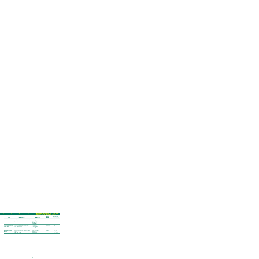#### **MIXTURES FOR EROSION AND SEDIMENTATION CONTROL ON: ROADSIDES, DUMP AND LOGGING SITES, STORM WATER**

| <b>ITEM</b>                                             | <b>CHARACTERISTICS</b>                                                                                                                               | <b>INGREDIENTS</b>                                                                                                           | <b>SEEDING</b><br><b>RATES</b> | <b>RECOMMENDED</b><br><b>PLANTING DATES</b><br>(NORTHERN HEMISPHERE) |
|---------------------------------------------------------|------------------------------------------------------------------------------------------------------------------------------------------------------|------------------------------------------------------------------------------------------------------------------------------|--------------------------------|----------------------------------------------------------------------|
| <b>Reclaim Native Grass</b><br><b>Mixture</b>           | Broadly adapted native mixture, slow to establish,<br>tolerates poor soil conditions. Reaches a mature<br>height of $3-5$ feet.<br>Zones: 3, 4 5, 6. | 30% Little Bluestem<br>20% Indiangrass<br>20% Azure Blue Fescue<br>15% Side Oats Grama<br>10% Big Bluestem<br>5% Switchgrass | $40-60\frac{H}{2}$ acre        | $4/1 - 6/15$                                                         |
| <b>Reclaim Southeast Native</b><br><b>Grass Mixture</b> | Specially formulated mixture for southeastern<br><b>United States conditions.</b><br>Zones: 7, 8.                                                    | 35% Indiangrass<br>20% Little Bluestem<br>20% Switchgrass<br>15% Big Bluestem<br>10% Lovegrass                               | $40-60\frac{H}{2}$ acre        | $3/1 - 8/31$                                                         |
| <b>Runway and Roadside</b><br><b>Mixture</b>            | Specially developed for areas of high salt or alkaline<br>soil types.<br>Zones: 3, 4 5, 6, 7, 8.                                                     | 60% Turf Type Tall Fescue<br>30% Alkaligrass<br>10% Hard Fescue                                                              | $200\frac{H}{2}$ acre          | $4/1 - 5/31$<br>or<br>$8/15 - 11/15$                                 |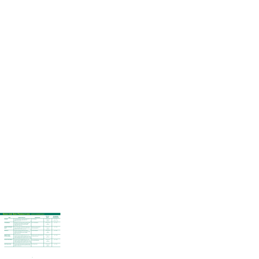#### **Seed for Sod Production - listed alphabetically**

| <b>ITEM</b>                                         | <b>CHARACTERISTICS</b>                                                                                                                                                                                                          | <b>INGREDIENTS</b>                                                  | <b>SEEDING</b><br><b>RATES</b>                        | <b>RECOMMENDED</b><br><b>PLANTING DATES</b><br>(NORTHERN HEMISPHERE) |
|-----------------------------------------------------|---------------------------------------------------------------------------------------------------------------------------------------------------------------------------------------------------------------------------------|---------------------------------------------------------------------|-------------------------------------------------------|----------------------------------------------------------------------|
| <b>Bentgrass</b>                                    | Fine turf applications, i.e. golf course greens, tees,<br>and fairways and high quality athletic turf.<br>Zones: 2, 3, 4, 5, 6, 7.                                                                                              | 100% Bentgrass                                                      | 2#/1000 sq. ft.<br><b>or</b><br>90#/acre              | $4/1 - 5/31$<br>or $8/15 - 10/15$                                    |
| <b>Centipedegrass</b>                               | Moderately coarse leaves provide a medium quality<br>turf, with poor wear tolerance. Persists in light<br>shade, grows best on acid soils with minimal<br>maintenance. Zones: 8, 9.                                             | 100% Centipedegrass                                                 | $1/2$ #/1000 sq. ft.<br>or<br>20#/acre                | $4/1 - 7/31$                                                         |
| <b>Prestige Sod Bluegrass</b><br><b>Blend</b>       | Use on home lawns, industrial and commercial turf<br>areas, sports fields and race tracks. Best results are<br>attained in full sun. Zones: 3, 4, 5, 6, 7.                                                                      | A blend of 4 elite proprietary<br>Kentucky Bluegrasses.             | #3/1000 sq. ft.<br><b>or</b><br>$130\frac{H}{2}$ acre | $4/1 - 9/30$                                                         |
| Princess-77                                         | Provides an extremely durable, thick stand of<br>turfgrass. Bermudagrass is one of the most drought<br>tolerant and salt tolerant species available.<br>Zones: 7, 8, 9, 10, 11.                                                 | 100% Bermudagrass                                                   | 1#/1000 sq. ft.<br>or<br>44#/acre                     | $4/1 - 8/15$                                                         |
| <b>Signature Series</b><br><b>Tall Fescue Blend</b> | Use where heat and drought tolerance are a consi-<br>deration. Provides an attractive durable turf in sun or<br>shade. Especially useful for moderate to dense shade<br>where Bermudagrass will not persist. Zones: 5, 6, 7, 8. | A blend of 3 elite certified proprietary<br>Turf Type Tall Fescues. | 8#/1000 sq. ft.<br>or<br>$350\frac{H}{2}$ acre        | $4/1 \cdot 10/30$                                                    |
| <b>Summer Stress Mixture</b>                        | Use where heat and drought tolerance are a consi-<br>deration. Provides an attractive durable turf in sun or<br>shade. Especially useful for moderate to dense shade<br>where Bermudagrass will not persist. Zones: 5, 6, 7, 8. | 90% Turf Type Tall Fescue (3 varieties)<br>10% Kentucky Bluegrass   | 5#/1000 sq. ft.<br>or<br>$220\frac{H}{}$ acre         | $4/1 \cdot 10/30$                                                    |
| <b>Zenith Zoysia Grass</b>                          | Provides a tight knitted turf that is drought and heat<br>tolerant. Density of turf will outcompete most weeds.<br>Zones: 6, 7, 8, 9, 10, 11.                                                                                   | 100% Zoysia Grass                                                   | $1#/1000$ sq. ft.<br>or<br>44#/acre                   | $4/1 - 8/15$                                                         |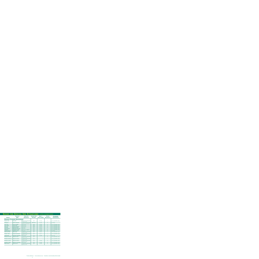### **Seeds for Special Use Situations - listed alphabetically**

| <b>SPECIES</b>               | <b>SCIENTIFIC</b><br><b>NAME</b>   | <b>ZONES FOR</b><br><b>ADAPTATION</b>                     | <b>SEEDING RATE</b><br>PER ACRE <sup>1</sup> | <b>MIN. %</b><br><b>PURITY/GERM.</b> | <b>SPECIES</b><br><b>AVAILABILITY</b> <sup>2</sup> | <b>RECOMMENDED</b><br><b>PLANTING DATES</b><br>(NORTHERN HEMISPHERE) |
|------------------------------|------------------------------------|-----------------------------------------------------------|----------------------------------------------|--------------------------------------|----------------------------------------------------|----------------------------------------------------------------------|
|                              | <b>DROUGHT TOLERANT BUNCHGRASS</b> |                                                           |                                              |                                      |                                                    |                                                                      |
| Bluegrass, Big*              | Poa ampla                          | arid and semi-arid regions<br>of 4, 5, 6, 7, 8            | $20\#$                                       | $81 - 49$                            |                                                    | $4/1 - 5/31$ or $8/16 - 10/15$                                       |
| Buffalograss*                | <b>Buchloe dactyloides</b>         | arid and semi-arid regions<br>of 4, 5, 6, 7, 8, 9, 10, 11 | 88# (burrs)                                  | $85 - 80$                            | A                                                  | $4/1 - 8/15$                                                         |
| Fescue, Hard                 | Festuca longifolia                 | 3, 4, 5, 6, 7                                             | 160#                                         | $96 - 85$                            | A                                                  | $4/1 - 5/31$ or $8/16 - 10/15$                                       |
| Fescue, Sheep                | <b>Festuca ovina</b>               | 3, 4, 5, 6, 7                                             | 160#                                         | $96 - 85$                            | A                                                  | $4/1 - 5/31$ or $8/16 - 10/15$                                       |
| Fescue, Tall                 | Festuca arundinacea                | 3, 4, 5, 6, 7                                             | 200#                                         | $97 - 90$                            | A                                                  | $4/1 - 5/31$ or $8/16 - 10/15$                                       |
| Grama, Blue                  | <b>Bouteloua gracilis</b>          | 4, 5, 6, 7                                                | 15#                                          | $45 - 75$                            | A                                                  | $4/1 - 5/31$ or $8/16 - 10/15$                                       |
| Grama, Side Oats             | Bouteloua curtipendula             | 4, 5, 6, 7                                                | 15#                                          | $60 - 60$                            |                                                    | $4/1 - 5/31$ or $8/16 - 10/15$                                       |
| Indiangrass*                 | Sorghastrum nutans                 | 3, 4, 5, 6, 7, eastern 8                                  | 15#                                          | $60 - 60$                            | A                                                  | $4/1 - 5/31$ or $8/16 - 10/15$                                       |
| Lovegrass, Weeping           | Eragrostis curvula                 | 4, 5, 6, 7                                                | 15#                                          | $95 - 87$                            | A                                                  | $4/1 - 8/15$                                                         |
| <b>Needle and Thread</b>     | Stipa comata                       | arid and semi-arid regions<br>of 4, 5, 6, 7, 8            | 25#                                          | $29 - 13$                            |                                                    | $4/1 - 5/31$ or $8/16 - 10/15$                                       |
| Ricegrass, Indian*           | Oryzopsis hymenoides               | arid and semi-arid regions<br>of $4, 5, 6, 7, 8$          | 20 <sup>#</sup>                              | $94 - 11$                            | $\mathbf{L}$                                       | $4/1 - 5/31$ or $8/16 - 10/15$                                       |
| <b>Sand Dropseed</b>         | Sporobolus cryptandrus             | 3, 4, 5, 6, 7                                             | 10#                                          | $93 - 80$                            |                                                    | $4/1 - 5/31$                                                         |
| <b>Wheatgrass, Beardless</b> | Agropyron inerme                   | arid and semi-arid regions<br>of $4, 5, 6, 7, 8$          | 25#                                          |                                      | A                                                  | $4/1 - 5/31$ or $8/16 - 10/15$                                       |
| Wheatgrass, Bluebunch        | Agropyron spicatum                 | arid and semi-arid regions<br>of 4, 5, 6, 7, 8            | 25#                                          |                                      | L                                                  | $4/1 - 5/31$ or $8/16 - 10/15$                                       |
| <b>Wheatgrass, Siberian</b>  | Agropyron sibiricum                | arid and semi-arid regions<br>of 4, 5, 6, 7, 8            | 25#                                          | $76 - 89$                            | A                                                  | $4/1 - 5/31$ or $8/16 - 10/15$                                       |
| <b>Wheatgrass, Slender</b>   | Agropyron trachycaulum             | 3, 4, 5, 6, 7                                             | 25#                                          | $95 - 85$                            | $\mathsf{A}$                                       | $4/1 - 5/31$ or $8/16 - 10/15$                                       |
| Wildrye, Russian             | Elymus junceus                     | arid and semi-arid regions<br>of 4, 5, 6, 7, 8            | 20#                                          | $91 - 85$                            | A                                                  | $4/1 - 5/31$ or $8/16 - 10/15$                                       |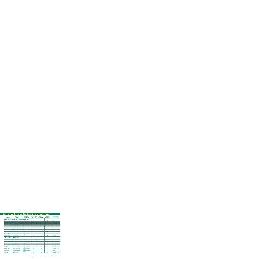| <b>SPECIES</b>                 | <b>SCIENTIFIC</b><br><b>NAME</b>            | <b>ZONES FOR</b><br><b>ADAPTATION</b>          | <b>SEEDING RATE</b><br>PER ACRE <sup>1</sup> | <b>MIN. %</b><br><b>PURITY/GERM.</b> | <b>SPECIES</b><br><b>AVAILABILITY</b> <sup>2</sup> | <b>RECOMMENDED</b><br><b>PLANTING DATES</b><br>(NORTHERN HEMISPHERE) |
|--------------------------------|---------------------------------------------|------------------------------------------------|----------------------------------------------|--------------------------------------|----------------------------------------------------|----------------------------------------------------------------------|
|                                | <b>DROUGHT TOLERANT SOD FORMING GRASSES</b> |                                                |                                              |                                      |                                                    |                                                                      |
| <b>Bermudagrass</b>            | Cynodon dactylon                            | 6, 7, 8, 9, 10, 11                             | 45#                                          | $87 - 85$                            | A                                                  | $4/1 - 8/15$                                                         |
| <b>Bluegrass, Canada</b>       | Poa compressa                               | 3, 4, 5, 6, 7                                  | 8o#                                          | $80 - 80$                            | A                                                  | $4/1 - 5/31$ or $8/16 - 10/15$                                       |
| <b>Bluegrass, Kentucky</b>     | Poa pratensis                               | 3, 4, 5, 6, 7                                  | 80#                                          | $85 - 80$                            | A                                                  | $4/1 - 4/30$ or $8/16 - 10/15$                                       |
| Bluestem, Big*                 | Andropogon gerardi                          | 3, 4, 5, 6, 7, eastern 8                       | 15#                                          |                                      | A                                                  | $4/1 - 5/31$ or $8/16 - 10/15$                                       |
| Bluestem, Little*              | Andropogon scoparius                        | 3, 4, 5, 6, 7, eastern 8                       | 15#                                          | $55 - 60$                            | A                                                  | $4/1 - 5/31$ or $8/16 - 10/15$                                       |
| <b>Creeping Red Fescue</b>     | Festuca rubra                               | 3, 4, 5, 6, 7                                  | 120#                                         | $97 - 80$                            | A                                                  | $4/1 - 5/31$ or $8/16 - 10/15$                                       |
| Timothy*                       | <b>Phleum pratense</b>                      | 3, 4, 5, 6, 7                                  | 8o#                                          | $99 - 90$                            | A                                                  | $4/1 - 5/31$ or $8/16 - 10/15$                                       |
| Wheatgrass, Intermediate       | Agropyron intermedium                       | arid and semi-arid regions<br>of 4, 5, 6, 7, 8 | 25#                                          | $89 - 91$                            | A                                                  | $4/1 - 5/31$ or $8/16 - 10/15$                                       |
| <b>Wheatgrass, Pubescent</b>   | Agropyron trichophorum                      | arid and semi-arid regions<br>of 4, 5, 6, 7, 8 | 25#                                          | $93 - 85$                            | T.                                                 | $4/1 - 5/31$ or $8/16 - 10/15$                                       |
| <b>Wheatgrass, Streambank</b>  | <b>Agropyron riparium</b>                   | arid and semi-arid regions<br>of 4, 5, 6, 7, 8 | 25#                                          |                                      | A                                                  | $4/1 - 5/31$ or $8/16 - 10/15$                                       |
| Wheatgrass, Thickspike         | Agropyron dasystachyum                      | arid and semi-arid regions<br>of 4, 5, 6, 7, 8 | 25#                                          |                                      | L                                                  | $4/1 - 5/31$ or $8/16 - 10/15$                                       |
| Wheatgrass, Western*           | Agropyron smithii                           | 3, 4, 5, 6, 7, 8                               | 30#<br>$80 - 80$                             |                                      | A                                                  | $4/1 - 5/31$ or $8/16 - 10/15$                                       |
| <b>SAND STABILIZING PLANTS</b> |                                             |                                                |                                              |                                      |                                                    |                                                                      |
| <b>Beachgrass</b>              | Ammophila spp.                              | 4,5                                            | Vegetative                                   |                                      | L                                                  | $4/1 - 5/31$ or $8/16 - 10/15$                                       |
| <b>Blowout Grass</b>           | Redfieldia flexuosa                         | arid and semi-arid regions<br>of 4, 5, 6, 7    | Vegetative                                   |                                      | L                                                  | $4/1 - 5/31$ or $8/16 - 10/15$                                       |
| <b>Bluestem, Sand</b>          | Andropogon hallii                           | arid and semi-arid regions<br>of 4, 5, 6, 7    | 40#                                          | $40 - 60$                            | L                                                  | $4/1 - 5/31$ or $8/16 - 10/15$                                       |
| Lovegrass, Sand                | Eragrostis trichodes                        | 4, 5, 6                                        | 5#                                           | $92 - 69$                            | L                                                  | $4/1 - 5/31$ or $8/16 - 10/15$                                       |
| <b>Needle and Thread</b>       | Stipa comata                                | arid and semi-arid regions<br>of 4, 5, 6, 7    | 25#                                          | $29 - 13$                            | $\mathbf{L}$                                       | $4/1 - 5/31$ or $8/16 - 10/15$                                       |
| <b>Prarie Sandreed</b>         | Calamovilifa longifolia                     | arid and semi-arid regions<br>of 4, 5, 6, 7    | 25#                                          | $85 - 75$                            | L                                                  | $4/1 - 5/31$ or $8/16 - 10/15$                                       |
| Ricegrass, Indian*             | Oryzopsis hymenoides                        | arid and semi-arid regions<br>of 4, 5, 6, 7    | 20#                                          | $94 - 11$                            | L                                                  | $4/1 - 5/31$ or $8/16 - 10/15$                                       |
| <b>Sandhill Muhly</b>          | Muhlenbergia pungens                        | arid and semi-arid regions<br>of 4, 5, 6, 7    |                                              |                                      |                                                    | $4/1 - 5/31$                                                         |
| Switchgrass*                   | Panicum virgatum                            | 9, 10, 11                                      | 15#                                          | $95 - 75$                            | A                                                  | $4/1 - 5/31$ or $8/16 - 10/15$                                       |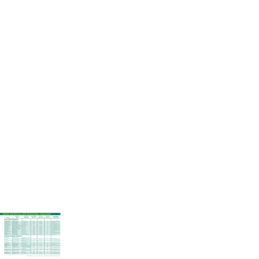| <b>SPECIES</b>                | <b>SCIENTIFIC</b><br><b>NAME</b>                       | <b>ZONES FOR</b><br><b>ADAPTATION</b>       | <b>SEEDING RATE</b><br>PER ACRE <sup>1</sup> | <b>MIN. %</b><br><b>PURITY/GERM.</b> | <b>SPECIES</b><br><b>AVAILABILITY</b> <sup>2</sup> | <b>RECOMMENDED</b><br><b>PLANTING DATES</b><br>(NORTHERN HEMISPHERE) |
|-------------------------------|--------------------------------------------------------|---------------------------------------------|----------------------------------------------|--------------------------------------|----------------------------------------------------|----------------------------------------------------------------------|
| <b>ACID TOLERANT GRASSES</b>  |                                                        |                                             |                                              |                                      |                                                    |                                                                      |
| Bentgrass, Colonial           | <b>Agrostis tenuis</b>                                 | 2, 3, 4, 5, 6, 7                            | 50#                                          | $95 - 90$                            | A                                                  | $4/1 - 5/31$ or $8/16 - 10/15$                                       |
| <b>Bentgrass, Creeping</b>    | <b>Agrostis palustris</b>                              | 2, 3, 4, 5, 6, 7                            | 50#                                          | $95 - 90$                            | $\overline{A}$                                     | $4/1 - 5/31$ or $8/16 - 10/15$                                       |
| <b>Bermudagrass</b>           | Cynodon dactylon                                       | 6, 7, 8, 9, 10, 11                          | 45#                                          | $87 - 85$                            | $\overline{A}$                                     | $4/1 - 8/15$                                                         |
| <b>Bluegrass, Canada</b>      | Poa compressa                                          | 3, 4, 5, 6, 7                               | 8o#                                          | $80 - 80$                            | A                                                  | $4/1 - 5/31$ or $8/16 - 10/15$                                       |
| Deer Tongue Grass*            | Panicum clandestinum                                   | humid 5, 6, 7, 8                            |                                              |                                      |                                                    | $4/1 - 5/31$ or $8/16 - 10/15$                                       |
| Fescue, Chewings              | Festuca rubra, var. commutata                          | 3, 4, 5, 6, 7                               | 120#                                         | $97 - 80$                            | $\overline{A}$                                     | $4/1 - 5/31$ or $8/16 - 10/15$                                       |
| Fescue, Hard                  | Festuca longifolia                                     | 3, 4, 5, 6, 7                               | 160#                                         | $96 - 85$                            | $\overline{A}$                                     | $4/1 - 5/31$ or $8/16 - 10/15$                                       |
| <b>Foxtail, Creeping</b>      | Alopecurus arundinaceus                                | 3, 4, 5, 6                                  | 50#                                          | $90 - 80$                            | L                                                  | $4/1 - 5/31$ or $8/16 - 10/15$                                       |
| <b>Foxtail, Meadow</b>        | Alopercurus pratensis                                  | 3, 4, 5, 6                                  | 50#                                          | $90 - 80$                            | A                                                  | $4/1 - 5/31$ or $8/16 - 10/15$                                       |
| Fescue, Red                   | Festuca rubra                                          | 3, 4, 5, 6, 7                               | 120#                                         | $97 - 80$                            | A                                                  | $4/1 - 5/31$ or $8/16 - 10/15$                                       |
| Lovegrass, Weeping            | Eragrostis curvula                                     | 4, 5, 6, 7, 8                               | 15#                                          | $95 - 87$                            | A                                                  | $4/1 - 8/15$                                                         |
| Redtop*                       | Agrostis alba                                          | 3, 4, 5, 6, 7                               | 8o#                                          | $92 - 90$                            | A                                                  | $4/1 - 5/31$ or $8/16 - 10/15$                                       |
| Ryegrass, Perennial           | Lolium perenne                                         | 2, 3, 4, 5, 6, 7                            | 240#                                         | $98 - 90$                            | $\overline{A}$                                     | $4/1 - 5/31$ or $8/16 - 10/15$                                       |
| Switchgrass*                  | Panicum virgatum                                       | 3, 4, 5, 6, 7, 8, 9, 10                     | 15#                                          | $95 - 75$                            | $\overline{A}$                                     | $4/1 - 5/31$                                                         |
| <b>Alkali Cordgrass</b>       | <b>ALKALINE TOLERANT GRASSES</b><br>Spartina gracillis | arid and semi-arid regions                  |                                              |                                      | <b>NA</b>                                          |                                                                      |
|                               |                                                        | of $4, 5, 6, 7$                             |                                              |                                      |                                                    |                                                                      |
| <b>Alkali Grass</b>           | Puccinellia lemmoni                                    | arid and semi-arid regions<br>of 4, 5, 6, 7 | 20#                                          | $98 - 85$                            | A                                                  | $4/1 - 5/31$ or $8/16 - 10/15$                                       |
| <b>Alkaki Sacaton</b>         | Sporobolus airoides                                    | arid and semi-arid regions<br>of 4, 5, 6, 7 | 10#                                          | $85 - 80$                            | L                                                  | $4/1 - 5/31$ or $8/16 - 10/15$                                       |
| Barley, Foxtail*              | Hordeum jubatum                                        | 3, 4, 5, 6, 7, 8                            | 55#                                          |                                      | A                                                  | $4/1 - 5/31$ or $8/16 - 10/15$                                       |
| <b>Bermudagrass</b>           | Cynodon dactylon                                       | 6, 7, 8, 9, 10, 11                          | 45#                                          | $87 - 85$                            | $\overline{A}$                                     | $4/1 - 8/15$                                                         |
| Ryegrass, Perennial           | Lolium perenne                                         | 2, 3, 4, 5, 6, 7, 8, 9, 10, 11              | 240#                                         | $98 - 90$                            | $\overline{A}$                                     | $4/1 - 5/31$ or $8/16 - 10/15$                                       |
| <b>Saltgrass</b>              | Distichlis stricta                                     | arid and semi-arid regions                  |                                              |                                      | <b>NA</b>                                          |                                                                      |
| Wheatgrass, Crested*          | Agropyron desertorum                                   | arid and semi-arid regions<br>of 4, 5, 6, 7 | 25#                                          | $95 - 85$                            | A                                                  | $4/1 - 5/31$ or $8/16 - 10/15$                                       |
| <b>Wheatgrass, Slender</b>    | Agropyron trachycaulum                                 | 3, 4, 5, 6, 7                               | 25#                                          | $95 - 85$                            | A                                                  | $4/1 - 5/31$ or $8/16 - 10/15$                                       |
| <b>Wheatgrass, Streambank</b> | Agropyron riparium                                     | arid and semi-arid regions<br>of 4, 5, 6, 7 | 25#                                          |                                      | A                                                  | $4/1 - 5/31$ or $8/16 - 10/15$                                       |
| <b>Wheatgrass, Tall</b>       | Agropyron elongatum                                    | 3, 4, 5, 6, 7                               | 240#                                         | $98 - 90$                            | A                                                  | $4/1 - 5/31$ or $8/16 - 10/15$                                       |
| Wheatgrass, Western*          | Agropyron smithii                                      | 3, 4, 5, 6, 7, 8                            | 30#                                          | $80 - 80$                            | $\overline{A}$                                     | $4/1 - 5/31$ or $8/16 - 10/15$                                       |

\*Provides wildlife value 1 For low maintenance areas 2 A=Available, L=Limited Availability, NA=Not Available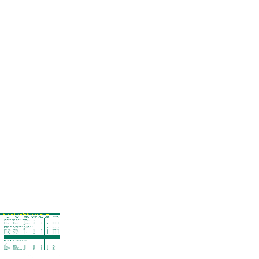| <b>SPECIES</b>             | <b>SCIENTIFIC</b><br><b>NAME</b>                   | <b>ZONES FOR</b><br><b>ADAPTATION</b>       | <b>SEEDING RATE</b><br>PER ACRE <sup>1</sup> | <b>MIN. %</b><br><b>PURITY/GERM.</b> | <b>SPECIES</b><br><b>AVAILABILITY</b> <sup>2</sup> | <b>RECOMMENDED</b><br><b>PLANTING DATES</b><br>(NORTHERN HEMISPHERE) |
|----------------------------|----------------------------------------------------|---------------------------------------------|----------------------------------------------|--------------------------------------|----------------------------------------------------|----------------------------------------------------------------------|
|                            | <b>ALKALINE TOLERANT GRASSES, CONTINUED</b>        |                                             |                                              |                                      |                                                    |                                                                      |
| Wildrye, Basin             | <b>Elymus cinereus</b>                             | arid and semi-arid regions<br>of 4, 5, 6, 7 | 30#                                          |                                      | <b>NA</b>                                          |                                                                      |
| Wildrye, Canada            | Elymus canadensis                                  | 3, 4, 5, 6                                  | 30#                                          | $85 - 85$                            | L                                                  | $4/1 - 5/31$ or $8/16 - 10/15$                                       |
| Wildrye, Russian           | Elymus junceus                                     | arid and semi-arid regions<br>of 4, 5, 6, 7 | $20\#$                                       | $91 - 85$                            | A                                                  | $4/1 - 5/31$ or $8/16 - 10/15$                                       |
|                            | <b>GRASSES AND LEGUMES TOLERANT OF MOIST SOILS</b> |                                             |                                              |                                      |                                                    |                                                                      |
| <b>Alkali Cordgrass</b>    | Spartina gracillis                                 | arid and semi-arid regions<br>of 4, 5, 6, 7 |                                              |                                      | A                                                  | $4/1 - 5/31$ or $8/16 - 10/15$                                       |
| Bentgrass, Colonial        | <b>Agrostis tenuis</b>                             | 2, 3, 4, 5, 6, 7                            | 50#                                          | $95 - 90$                            | A                                                  | $4/1 - 5/31$ or $8/16 - 10/15$                                       |
| <b>Bentgrass, Creeping</b> | <b>Agrostis palustris</b>                          | 2, 3, 4, 5, 6, 7                            | 50#                                          | $95 - 90$                            | A                                                  | $4/1 - 5/31$ or $8/16 - 10/15$                                       |
| Canarygrass, Reed*         | Phalaris arundinacea                               | 3, 4, 5, 6, 7                               | $20\#$                                       | $96 - 80$                            | A                                                  | $4/1.5/31$ or $8/16.10/15$                                           |
| Clover, Alsike*            | <b>Trifolium hybridum</b>                          | 3, 4, 5, 6, 7, 8                            | 15#                                          | $97 - 90$                            | A                                                  | $4/1 - 5/31$ or $8/16 - 10/15$                                       |
| Fescue, Meadow*            | <b>Festuca elatior</b>                             | 3, 4, 5, 6                                  | 160#                                         | $97 - 90$                            | A                                                  | $4/1 - 5/31$ or $8/16 - 10/15$                                       |
| Foxtail, Creeping*         | Alopecurus arundinaceus                            | 3, 4, 5, 6                                  | 50#                                          | $90 - 80$                            | L                                                  | $4/1 - 5/31$ or $8/16 - 10/15$                                       |
| Foxtail, Meadow*           | Alopercurus pratensis                              | 3, 4, 5, 6                                  | 50#                                          | $90 - 80$                            | A                                                  | $4/1 - 5/31$ or $8/16 - 10/15$                                       |
| Poa trivialis              | Poa trivialis                                      | 2, 3, 4, 5, 6, 7                            | 50#                                          | $85 - 80$                            | A                                                  | $4/1 - 5/31$ or $8/16 - 10/15$                                       |
| Redtop*                    | Agrostis alba                                      | 2, 3, 4, 5, 6                               | <b>80#</b>                                   | $92 - 90$                            |                                                    | $4/1 - 5/31$ or $8/16 - 10/15$                                       |
| Ryegrass, Perennial        | Lolium perenne                                     | 2, 3, 4, 5, 6                               | 240#                                         | $98 - 90$                            | A                                                  | $4/1 - 5/31$ or $8/16 - 10/15$                                       |
|                            | <b>GRASSES PROVIDING TEMPORARY COVER</b>           |                                             |                                              |                                      |                                                    |                                                                      |
| <b>Barley</b>              | Hordeum vulgare                                    | all zones                                   | 200#                                         | $99 - 90$                            | A                                                  | $4/1 - 10/15$                                                        |
| <b>Brome, Field</b>        | <b>Bromus arvensis</b>                             | all zones                                   | <b>60#</b>                                   | $98 - 91$                            | A                                                  | $4/1 - 10/15$                                                        |
| Oatgrass, Tall             | Arrhenatherum elatius                              | all zones                                   | 200#                                         | $85 - 90$                            | L                                                  | $4/1 - 10/15$                                                        |
| <b>Oats</b>                | Avena sativa                                       | all zones                                   | 200#                                         | $98 - 90$                            | A                                                  | $4/1 - 10/15$                                                        |
| Rye, Winter                | Secale cereale                                     | all zones                                   | 200#                                         | $97 - 85$                            | A                                                  | $8/15 \cdot 10/15$                                                   |
| Ryegrass, Annual           | Lolium multiflorum                                 | all zones                                   | 160#                                         | $98 - 90$                            | A                                                  | $4/1 - 10/15$                                                        |
| Ryegrass, Perennial        | Lolium perenne                                     | all zones                                   | 240#                                         | $98 - 90$                            | A                                                  | $4/1 - 10/15$                                                        |
| <b>Sudangrass</b>          | Sorghum vulgare var. sudanese                      | 4, 5, 6, 7                                  | 25#                                          | $98 - 80$                            | A                                                  | $4/1 - 7/31$                                                         |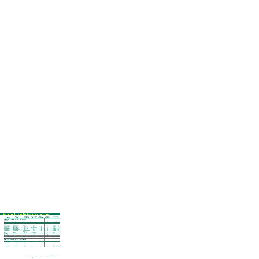| <b>SPECIES</b>                         | <b>SCIENTIFIC</b><br><b>NAME</b>        | <b>ZONES FOR</b><br><b>ADAPTATION</b>            | <b>SEEDING RATE</b><br><b>PER ACRE</b> <sup>1</sup> | <b>MIN. %</b><br><b>PURITY/GERM.</b> | <b>SPECIES</b><br><b>AVAILABILITY</b> <sup>2</sup> | <b>RECOMMENDED</b><br><b>PLANTING DATES</b><br>(NORTHERN HEMISPHERE) |
|----------------------------------------|-----------------------------------------|--------------------------------------------------|-----------------------------------------------------|--------------------------------------|----------------------------------------------------|----------------------------------------------------------------------|
|                                        | <b>GRASSES PROVIDING SALT TOLERANCE</b> |                                                  |                                                     |                                      |                                                    |                                                                      |
| <b>VERY GOOD</b><br><b>Alkaligrass</b> | Puccinellia spp.                        | 3, 4, 5                                          | 20#                                                 |                                      | A                                                  | $4/1 - 5/31$ or $8/16 - 10/15$                                       |
| Paspalum                               | Paspalum vaginatum                      | 7, 8, 9, 10, 11                                  | sod only                                            |                                      | A                                                  | $4/1 - 9/15$                                                         |
| <b>GOOD</b>                            |                                         |                                                  |                                                     |                                      |                                                    |                                                                      |
| Barley, Foxtail*                       | Hordeum jubatum                         | 3, 4, 5, 6, 7, 8                                 | 130#                                                |                                      | A                                                  | $4/1 - 5/31$ or $8/16 - 10/15$                                       |
| <b>Bentgrass, Creeping</b>             | <b>Agrostis palustris</b>               | 2, 3, 4, 5, 6, 7                                 | 50#                                                 | $95 - 90$                            | A                                                  | $4/1 - 5/31$ or $8/16 - 10/15$                                       |
| <b>Bermudagrass</b>                    | Cynodon dactylon                        | 6, 7, 8, 9, 10, 11                               | 45# (common only)                                   | $97 - 85$                            | A                                                  | $4/1 - 8/15$                                                         |
| Wheatgrass, Western*                   | Agropyron smithii                       | 2, 3, 4, 5, 6, 7, 8                              | 30#                                                 | $80 - 80$                            | A                                                  | $4/1 - 5/31$ or $8/16 - 10/15$                                       |
| <b>Wheatgrass, Tall</b>                | Agropyron elongatum                     | 2, 3, 4, 5, 6                                    | 25#                                                 | $94 - 90$                            | A                                                  | $4/1 - 5/31$ or $8/16 - 10/15$                                       |
| Wildrye, Russian                       | Elymus junceus                          | arid and semi-arid regions<br>of $4, 5, 6, 7, 8$ | 120#                                                | $91 - 85$                            | A                                                  | $4/1 - 5/31$ or $8/16 - 10/15$                                       |
| Zoysia                                 | Zoysia spp.                             | 6, 7, 8, 9, 10, 11                               | vegetative only                                     |                                      | A                                                  | $4/1 - 10/15$                                                        |
| <b>MODERATE</b>                        |                                         |                                                  |                                                     |                                      |                                                    |                                                                      |
| Fescue, Tall                           | Festuca arundinacea                     | 5, 6, 7, 8                                       | 200#                                                | $97 - 90$                            | A                                                  | $4/1 - 5/31$ or $8/16 - 10/15$                                       |
| <b>Wheatgrass, Slender</b>             | Agropyron trachycaulum                  | 3, 4, 5, 6, 7                                    | 25#                                                 | $95 - 85$                            | A                                                  | $4/1 - 5/31$ or $8/16 - 10/15$                                       |
| Wheatgrass, Streambank                 | Agropyron riparium                      | arid and semi-arid regions<br>of 4, 5, 6, 7, 8   | 25#                                                 |                                      | A                                                  | $4/1 - 5/31$ or $8/16 - 10/15$                                       |
|                                        | <b>GRASSES PROVIDING COLD TOLERANCE</b> |                                                  |                                                     |                                      |                                                    |                                                                      |
| <b>Bluegrass, Kentucky</b>             | Poa pratensis                           | 3, 4, 5, 6, 7                                    | <b>80#</b>                                          | $85 - 80$                            | A                                                  |                                                                      |
| <b>Fescue, Chewings</b>                | Festuca rubra var. commutata            | 3, 4, 5, 6, 7                                    | 120#                                                | $97 - 80$                            | A                                                  | $4/1 - 5/31$ or $8/16 - 10/15$                                       |
| <b>Fescue, Creeping Red</b>            | Festuca rubra var. rubra                | 3, 4, 5, 6, 7                                    | 120#                                                | $97 - 80$                            | A                                                  | $4/1 - 5/31$ or $8/16 - 10/15$                                       |
| Fescue, Hard                           | Festuca longifolia                      | 3, 4, 5, 6, 7                                    | 160#                                                | $96 - 85$                            | A                                                  | $4/1 - 5/31$ or $8/16 - 10/15$                                       |
| <b>Fescue, Meadow</b>                  | <b>Festuca elatior</b>                  | 3, 4, 5, 6                                       | 160#                                                | $97 - 90$                            | A                                                  | $4/1 - 5/31$ or $8/16 - 10/15$                                       |
| Fescue, Sheep                          | <b>Festuca ovina</b>                    | 3, 4, 5, 6, 7                                    | 160#                                                | $97 - 80$                            | A                                                  | $4/1 - 5/31$ or $8/16 - 10/15$                                       |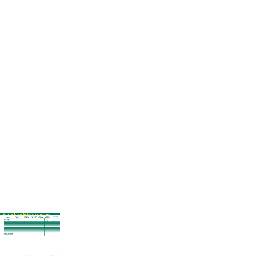| <b>SCIENTIFIC</b><br><b>SPECIES</b><br><b>NAME</b> |                                  | <b>ZONES FOR</b><br><b>ADAPTATION</b>            |                          | Min. %<br><b>PURITY/GERM.</b> | <b>SPECIES</b><br><b>AVAILABILITY</b> <sup>2</sup> | <b>RECOMMENDED</b><br><b>PLANTING DATES</b><br>(NORTHERN HEMISPHERE) |
|----------------------------------------------------|----------------------------------|--------------------------------------------------|--------------------------|-------------------------------|----------------------------------------------------|----------------------------------------------------------------------|
| <b>LEGUMES</b>                                     |                                  |                                                  |                          |                               |                                                    |                                                                      |
| Clover, Alsike*                                    | Trifolium hybridum               | 3, 4, 5, 6, 7, 8                                 | 15#                      | $97 - 90$                     | $\mathsf{A}$                                       | $4/1 - 5/31$ or $8/16 - 10/15$                                       |
| Clover, Crimson*                                   | Trifolium incarnatum             | 6, 7, 8                                          | 25#                      |                               | A                                                  | $4/1 - 8/16$                                                         |
| Clover, Red*                                       | Trifolium pratense               | 3, 4, 5, 6, 7                                    | 10#                      |                               | A                                                  | $4/1 - 8/16$                                                         |
| Clover, White*                                     | <b>Trifolium repens</b>          | 3, 4, 5, 6, 7, 8                                 | 5#                       | $96 - 90$                     | A                                                  | $4/1 - 5/31$ or $8/16 - 10/15$                                       |
| <b>Flatpea</b>                                     | Lathyrus sylvestris              | 2, 3                                             | $40\#$                   |                               | A                                                  | $4/1 - 5/31$ or $8/16 - 10/15$                                       |
| Legume, O'Conner's                                 | Trifolium fragiferum             | arid and semi-arid regions<br>of $4, 5, 6, 7, 8$ | 6#                       |                               | A                                                  | $4/1 - 8/16$                                                         |
| Lespedeza, Korean*                                 | Lespedeza stipulacea             | 7, 8, 9                                          | 30#                      | $97 - 90$                     | A                                                  | $4/1 - 5/31$                                                         |
| Lespedeza, Sericea*                                | Lespedeza cuneata                | 7, 8, 9                                          | 30#                      | $98 - 90$                     | A                                                  | $4/1 \cdot 5/31$                                                     |
| Trefoil, Birdsfoot*                                | Lotus corniculatus var. arvensis | 3, 4, 5, 6                                       | 15#                      | $96 - 90$                     | A                                                  | $4/1 - 5/31$                                                         |
| Vetch, Crown*                                      | Coronilla varia                  | 3, 4, 5, 6                                       | $20\#$                   | $98 - 90$                     | A                                                  | $4/1 - 5/31$                                                         |
| Vetch, Hairy                                       | Vicia villosa                    | 3, 4, 5, 6                                       | 40#                      |                               | A                                                  | $4/1 - 5/31$                                                         |
| <b>GROUND COVER</b>                                |                                  |                                                  |                          |                               |                                                    |                                                                      |
| <b>Dichondra</b>                                   | Dichondra repens                 | arid and semi-arid 8                             | $1\frac{4}{500}$ sq. ft. | $98 - 90$                     | A                                                  | $4/1 - 8/15$                                                         |